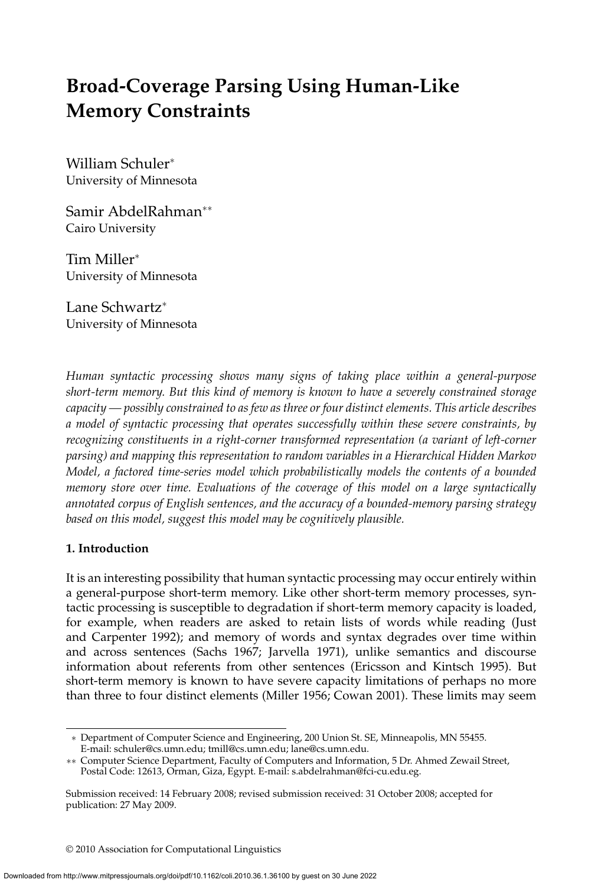# **Broad-Coverage Parsing Using Human-Like Memory Constraints**

William Schuler<sup>∗</sup> University of Minnesota

Samir AbdelRahman∗∗ Cairo University

Tim Miller<sup>∗</sup> University of Minnesota

Lane Schwartz<sup>∗</sup> University of Minnesota

*Human syntactic processing shows many signs of taking place within a general-purpose short-term memory. But this kind of memory is known to have a severely constrained storage capacity — possibly constrained to as few as three or four distinct elements. This article describes a model of syntactic processing that operates successfully within these severe constraints, by recognizing constituents in a right-corner transformed representation (a variant of left-corner parsing)and mapping this representation to random variables in a Hierarchical Hidden Markov Model, a factored time-series model which probabilistically models the contents of a bounded memory store over time. Evaluations of the coverage of this model on a large syntactically annotated corpus of English sentences, and the accuracy of a bounded-memory parsing strategy based on this model, suggest this model may be cognitively plausible.*

# **1. Introduction**

It is an interesting possibility that human syntactic processing may occur entirely within a general-purpose short-term memory. Like other short-term memory processes, syntactic processing is susceptible to degradation if short-term memory capacity is loaded, for example, when readers are asked to retain lists of words while reading (Just and Carpenter 1992); and memory of words and syntax degrades over time within and across sentences (Sachs 1967; Jarvella 1971), unlike semantics and discourse information about referents from other sentences (Ericsson and Kintsch 1995). But short-term memory is known to have severe capacity limitations of perhaps no more than three to four distinct elements (Miller 1956; Cowan 2001). These limits may seem

© 2010 Association for Computational Linguistics

<sup>∗</sup> Department of Computer Science and Engineering, 200 Union St. SE, Minneapolis, MN 55455. E-mail: schuler@cs.umn.edu; tmill@cs.umn.edu; lane@cs.umn.edu.

<sup>∗∗</sup> Computer Science Department, Faculty of Computers and Information, 5 Dr. Ahmed Zewail Street, Postal Code: 12613, Orman, Giza, Egypt. E-mail: s.abdelrahman@fci-cu.edu.eg.

Submission received: 14 February 2008; revised submission received: 31 October 2008; accepted for publication: 27 May 2009.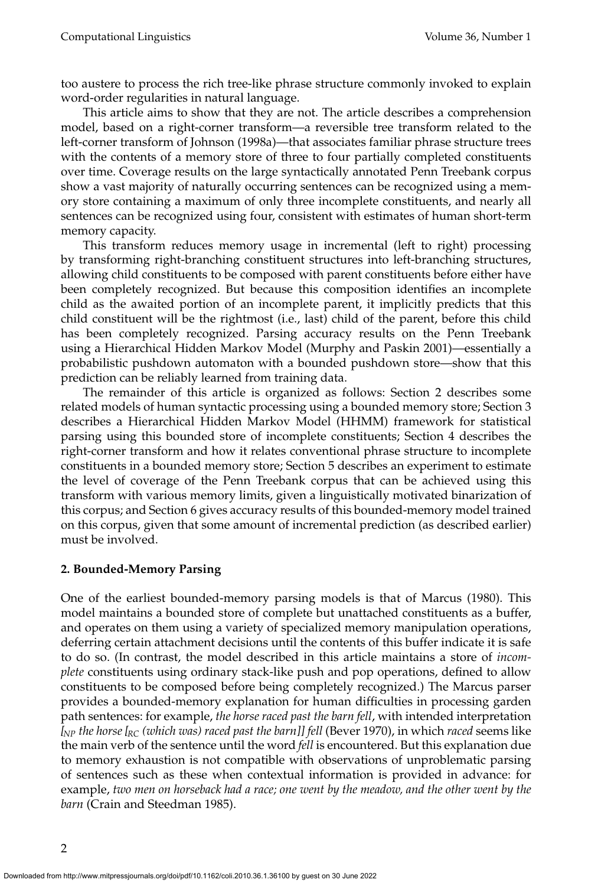too austere to process the rich tree-like phrase structure commonly invoked to explain word-order regularities in natural language.

This article aims to show that they are not. The article describes a comprehension model, based on a right-corner transform—a reversible tree transform related to the left-corner transform of Johnson (1998a)—that associates familiar phrase structure trees with the contents of a memory store of three to four partially completed constituents over time. Coverage results on the large syntactically annotated Penn Treebank corpus show a vast majority of naturally occurring sentences can be recognized using a memory store containing a maximum of only three incomplete constituents, and nearly all sentences can be recognized using four, consistent with estimates of human short-term memory capacity.

This transform reduces memory usage in incremental (left to right) processing by transforming right-branching constituent structures into left-branching structures, allowing child constituents to be composed with parent constituents before either have been completely recognized. But because this composition identifies an incomplete child as the awaited portion of an incomplete parent, it implicitly predicts that this child constituent will be the rightmost (i.e., last) child of the parent, before this child has been completely recognized. Parsing accuracy results on the Penn Treebank using a Hierarchical Hidden Markov Model (Murphy and Paskin 2001)—essentially a probabilistic pushdown automaton with a bounded pushdown store—show that this prediction can be reliably learned from training data.

The remainder of this article is organized as follows: Section 2 describes some related models of human syntactic processing using a bounded memory store; Section 3 describes a Hierarchical Hidden Markov Model (HHMM) framework for statistical parsing using this bounded store of incomplete constituents; Section 4 describes the right-corner transform and how it relates conventional phrase structure to incomplete constituents in a bounded memory store; Section 5 describes an experiment to estimate the level of coverage of the Penn Treebank corpus that can be achieved using this transform with various memory limits, given a linguistically motivated binarization of this corpus; and Section 6 gives accuracy results of this bounded-memory model trained on this corpus, given that some amount of incremental prediction (as described earlier) must be involved.

### **2. Bounded-Memory Parsing**

One of the earliest bounded-memory parsing models is that of Marcus (1980). This model maintains a bounded store of complete but unattached constituents as a buffer, and operates on them using a variety of specialized memory manipulation operations, deferring certain attachment decisions until the contents of this buffer indicate it is safe to do so. (In contrast, the model described in this article maintains a store of *incomplete* constituents using ordinary stack-like push and pop operations, defined to allow constituents to be composed before being completely recognized.) The Marcus parser provides a bounded-memory explanation for human difficulties in processing garden path sentences: for example, *the horse raced past the barn fell*, with intended interpretation *[NP the horse [RC (which was)raced past the barn]] fell* (Bever 1970), in which *raced* seems like the main verb of the sentence until the word *fell* is encountered. But this explanation due to memory exhaustion is not compatible with observations of unproblematic parsing of sentences such as these when contextual information is provided in advance: for example, *two men on horseback had a race; one went by the meadow, and the other went by the barn* (Crain and Steedman 1985).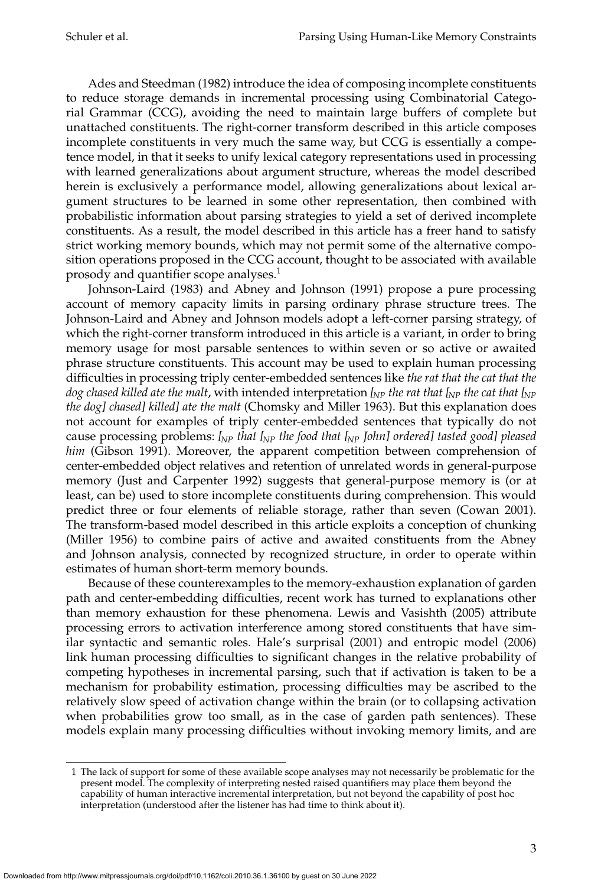Ades and Steedman (1982) introduce the idea of composing incomplete constituents to reduce storage demands in incremental processing using Combinatorial Categorial Grammar (CCG), avoiding the need to maintain large buffers of complete but unattached constituents. The right-corner transform described in this article composes incomplete constituents in very much the same way, but CCG is essentially a competence model, in that it seeks to unify lexical category representations used in processing with learned generalizations about argument structure, whereas the model described herein is exclusively a performance model, allowing generalizations about lexical argument structures to be learned in some other representation, then combined with probabilistic information about parsing strategies to yield a set of derived incomplete constituents. As a result, the model described in this article has a freer hand to satisfy strict working memory bounds, which may not permit some of the alternative composition operations proposed in the CCG account, thought to be associated with available prosody and quantifier scope analyses. $<sup>1</sup>$ </sup>

Johnson-Laird (1983) and Abney and Johnson (1991) propose a pure processing account of memory capacity limits in parsing ordinary phrase structure trees. The Johnson-Laird and Abney and Johnson models adopt a left-corner parsing strategy, of which the right-corner transform introduced in this article is a variant, in order to bring memory usage for most parsable sentences to within seven or so active or awaited phrase structure constituents. This account may be used to explain human processing difficulties in processing triply center-embedded sentences like *the rat that the cat that the dog chased killed ate the malt*, with intended interpretation *[NP the rat that [NP the cat that [NP the dog] chased] killed] ate the malt* (Chomsky and Miller 1963). But this explanation does not account for examples of triply center-embedded sentences that typically do not cause processing problems: *[NP that [NP the food that [NP John] ordered] tasted good] pleased him* (Gibson 1991). Moreover, the apparent competition between comprehension of center-embedded object relatives and retention of unrelated words in general-purpose memory (Just and Carpenter 1992) suggests that general-purpose memory is (or at least, can be) used to store incomplete constituents during comprehension. This would predict three or four elements of reliable storage, rather than seven (Cowan 2001). The transform-based model described in this article exploits a conception of chunking (Miller 1956) to combine pairs of active and awaited constituents from the Abney and Johnson analysis, connected by recognized structure, in order to operate within estimates of human short-term memory bounds.

Because of these counterexamples to the memory-exhaustion explanation of garden path and center-embedding difficulties, recent work has turned to explanations other than memory exhaustion for these phenomena. Lewis and Vasishth (2005) attribute processing errors to activation interference among stored constituents that have similar syntactic and semantic roles. Hale's surprisal (2001) and entropic model (2006) link human processing difficulties to significant changes in the relative probability of competing hypotheses in incremental parsing, such that if activation is taken to be a mechanism for probability estimation, processing difficulties may be ascribed to the relatively slow speed of activation change within the brain (or to collapsing activation when probabilities grow too small, as in the case of garden path sentences). These models explain many processing difficulties without invoking memory limits, and are

<sup>1</sup> The lack of support for some of these available scope analyses may not necessarily be problematic for the present model. The complexity of interpreting nested raised quantifiers may place them beyond the capability of human interactive incremental interpretation, but not beyond the capability of post hoc interpretation (understood after the listener has had time to think about it).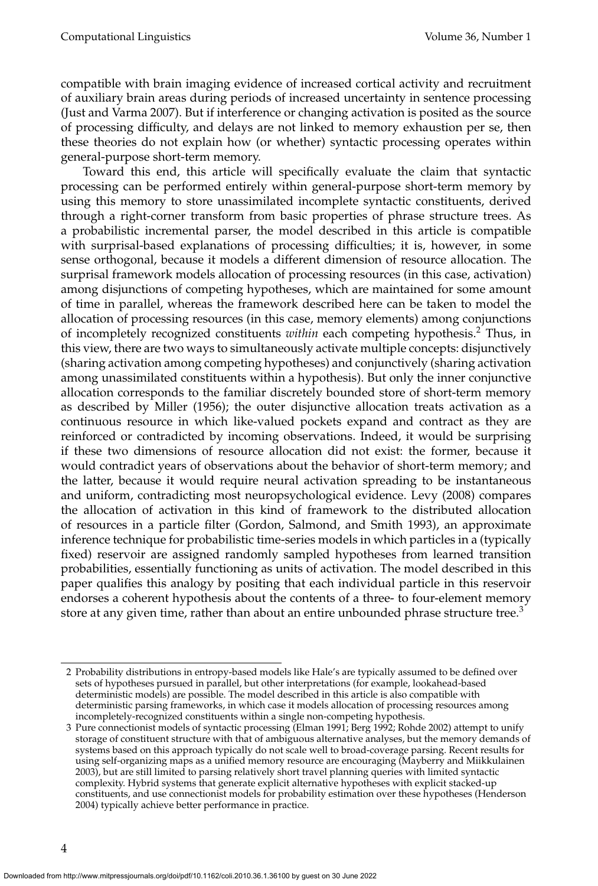compatible with brain imaging evidence of increased cortical activity and recruitment of auxiliary brain areas during periods of increased uncertainty in sentence processing (Just and Varma 2007). But if interference or changing activation is posited as the source of processing difficulty, and delays are not linked to memory exhaustion per se, then these theories do not explain how (or whether) syntactic processing operates within general-purpose short-term memory.

Toward this end, this article will specifically evaluate the claim that syntactic processing can be performed entirely within general-purpose short-term memory by using this memory to store unassimilated incomplete syntactic constituents, derived through a right-corner transform from basic properties of phrase structure trees. As a probabilistic incremental parser, the model described in this article is compatible with surprisal-based explanations of processing difficulties; it is, however, in some sense orthogonal, because it models a different dimension of resource allocation. The surprisal framework models allocation of processing resources (in this case, activation) among disjunctions of competing hypotheses, which are maintained for some amount of time in parallel, whereas the framework described here can be taken to model the allocation of processing resources (in this case, memory elements) among conjunctions of incompletely recognized constituents *within* each competing hypothesis.<sup>2</sup> Thus, in this view, there are two ways to simultaneously activate multiple concepts: disjunctively (sharing activation among competing hypotheses) and conjunctively (sharing activation among unassimilated constituents within a hypothesis). But only the inner conjunctive allocation corresponds to the familiar discretely bounded store of short-term memory as described by Miller (1956); the outer disjunctive allocation treats activation as a continuous resource in which like-valued pockets expand and contract as they are reinforced or contradicted by incoming observations. Indeed, it would be surprising if these two dimensions of resource allocation did not exist: the former, because it would contradict years of observations about the behavior of short-term memory; and the latter, because it would require neural activation spreading to be instantaneous and uniform, contradicting most neuropsychological evidence. Levy (2008) compares the allocation of activation in this kind of framework to the distributed allocation of resources in a particle filter (Gordon, Salmond, and Smith 1993), an approximate inference technique for probabilistic time-series models in which particles in a (typically fixed) reservoir are assigned randomly sampled hypotheses from learned transition probabilities, essentially functioning as units of activation. The model described in this paper qualifies this analogy by positing that each individual particle in this reservoir endorses a coherent hypothesis about the contents of a three- to four-element memory store at any given time, rather than about an entire unbounded phrase structure tree.<sup>3</sup>

<sup>2</sup> Probability distributions in entropy-based models like Hale's are typically assumed to be defined over sets of hypotheses pursued in parallel, but other interpretations (for example, lookahead-based deterministic models) are possible. The model described in this article is also compatible with deterministic parsing frameworks, in which case it models allocation of processing resources among incompletely-recognized constituents within a single non-competing hypothesis.

<sup>3</sup> Pure connectionist models of syntactic processing (Elman 1991; Berg 1992; Rohde 2002) attempt to unify storage of constituent structure with that of ambiguous alternative analyses, but the memory demands of systems based on this approach typically do not scale well to broad-coverage parsing. Recent results for using self-organizing maps as a unified memory resource are encouraging (Mayberry and Miikkulainen 2003), but are still limited to parsing relatively short travel planning queries with limited syntactic complexity. Hybrid systems that generate explicit alternative hypotheses with explicit stacked-up constituents, and use connectionist models for probability estimation over these hypotheses (Henderson 2004) typically achieve better performance in practice.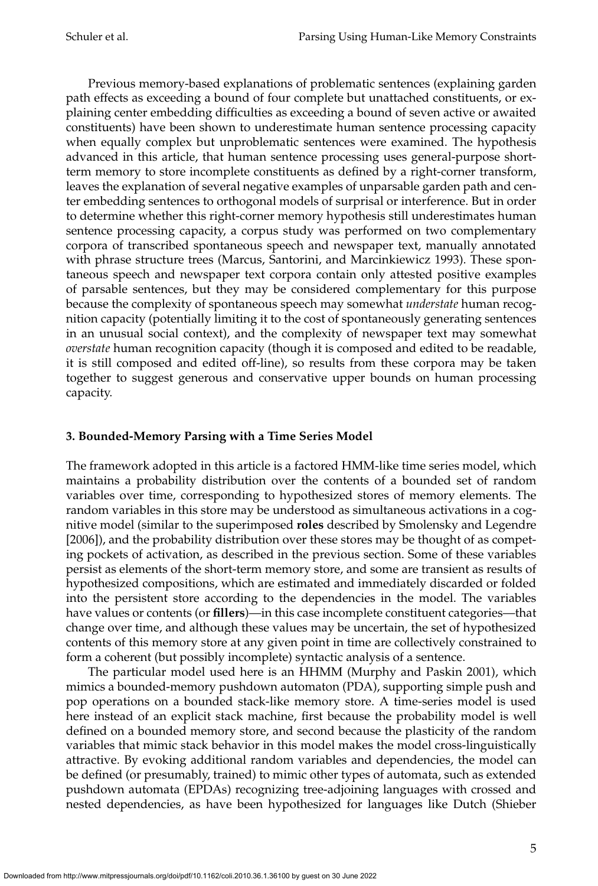Previous memory-based explanations of problematic sentences (explaining garden path effects as exceeding a bound of four complete but unattached constituents, or explaining center embedding difficulties as exceeding a bound of seven active or awaited constituents) have been shown to underestimate human sentence processing capacity when equally complex but unproblematic sentences were examined. The hypothesis advanced in this article, that human sentence processing uses general-purpose shortterm memory to store incomplete constituents as defined by a right-corner transform, leaves the explanation of several negative examples of unparsable garden path and center embedding sentences to orthogonal models of surprisal or interference. But in order to determine whether this right-corner memory hypothesis still underestimates human sentence processing capacity, a corpus study was performed on two complementary corpora of transcribed spontaneous speech and newspaper text, manually annotated with phrase structure trees (Marcus, Santorini, and Marcinkiewicz 1993). These spontaneous speech and newspaper text corpora contain only attested positive examples of parsable sentences, but they may be considered complementary for this purpose because the complexity of spontaneous speech may somewhat *understate* human recognition capacity (potentially limiting it to the cost of spontaneously generating sentences in an unusual social context), and the complexity of newspaper text may somewhat *overstate* human recognition capacity (though it is composed and edited to be readable, it is still composed and edited off-line), so results from these corpora may be taken together to suggest generous and conservative upper bounds on human processing capacity.

# **3. Bounded-Memory Parsing with a Time Series Model**

The framework adopted in this article is a factored HMM-like time series model, which maintains a probability distribution over the contents of a bounded set of random variables over time, corresponding to hypothesized stores of memory elements. The random variables in this store may be understood as simultaneous activations in a cognitive model (similar to the superimposed **roles** described by Smolensky and Legendre [2006]), and the probability distribution over these stores may be thought of as competing pockets of activation, as described in the previous section. Some of these variables persist as elements of the short-term memory store, and some are transient as results of hypothesized compositions, which are estimated and immediately discarded or folded into the persistent store according to the dependencies in the model. The variables have values or contents (or **fillers**)—in this case incomplete constituent categories—that change over time, and although these values may be uncertain, the set of hypothesized contents of this memory store at any given point in time are collectively constrained to form a coherent (but possibly incomplete) syntactic analysis of a sentence.

The particular model used here is an HHMM (Murphy and Paskin 2001), which mimics a bounded-memory pushdown automaton (PDA), supporting simple push and pop operations on a bounded stack-like memory store. A time-series model is used here instead of an explicit stack machine, first because the probability model is well defined on a bounded memory store, and second because the plasticity of the random variables that mimic stack behavior in this model makes the model cross-linguistically attractive. By evoking additional random variables and dependencies, the model can be defined (or presumably, trained) to mimic other types of automata, such as extended pushdown automata (EPDAs) recognizing tree-adjoining languages with crossed and nested dependencies, as have been hypothesized for languages like Dutch (Shieber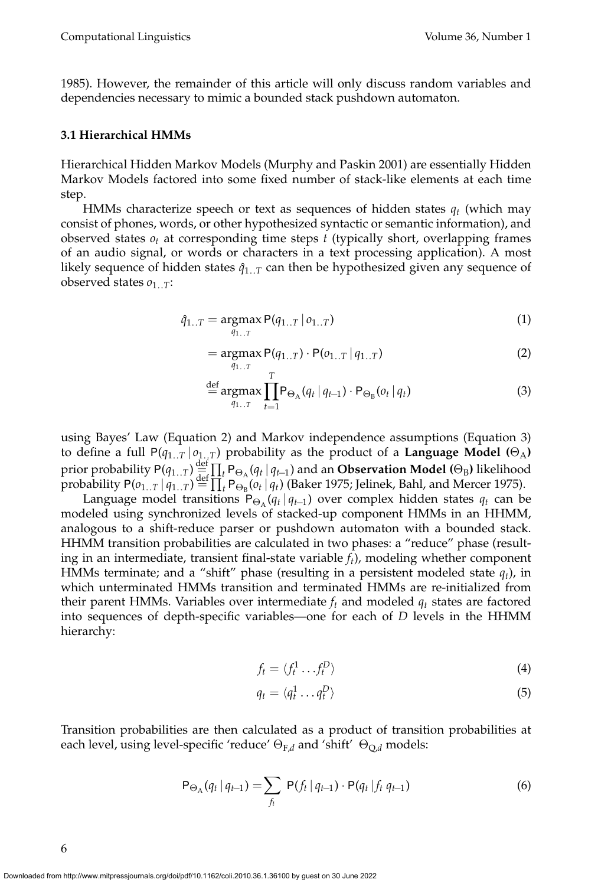1985). However, the remainder of this article will only discuss random variables and dependencies necessary to mimic a bounded stack pushdown automaton.

#### **3.1 Hierarchical HMMs**

Hierarchical Hidden Markov Models (Murphy and Paskin 2001) are essentially Hidden Markov Models factored into some fixed number of stack-like elements at each time step.

HMMs characterize speech or text as sequences of hidden states *qt* (which may consist of phones, words, or other hypothesized syntactic or semantic information), and observed states  $o_t$  at corresponding time steps  $t$  (typically short, overlapping frames of an audio signal, or words or characters in a text processing application). A most likely sequence of hidden states  $\hat{q}_{1...T}$  can then be hypothesized given any sequence of observed states  $o_{1...T}$ :

$$
\hat{q}_{1..T} = \underset{q_{1..T}}{\text{argmax}} P(q_{1..T} | o_{1..T})
$$
\n(1)

$$
= \underset{q_{1..T}}{\text{argmax}} P(q_{1..T}) \cdot P(o_{1..T} | q_{1..T}) \tag{2}
$$

$$
\stackrel{\text{def}}{=} \underset{q_{1..T}}{\text{argmax}} \prod_{t=1}^{I} P_{\Theta_{\mathcal{A}}}(q_t | q_{t-1}) \cdot P_{\Theta_{\mathcal{B}}}(o_t | q_t)
$$
(3)

using Bayes' Law (Equation 2) and Markov independence assumptions (Equation 3) to define a full  $P(q_{1..T} | o_{1..T})$  probability as the product of a **Language Model** ( $\Theta_A$ ) prior probability  $P(q_{1..T}) \stackrel{\text{def}}{=} \prod_{t} P_{\Theta_{A}}(q_{t} | q_{t-1})$  and an **Observation Model** ( $\Theta_{B}$ ) likelihood probability  $P(o_{1..T} | q_{1..T}) \stackrel{\text{def}}{=} \prod_t P_{\Theta_B}(o_t | q_t)$  (Baker 1975; Jelinek, Bahl, and Mercer 1975).

Language model transitions  $P_{\Theta_{\Lambda}}(q_t | q_{t-1})$  over complex hidden states  $q_t$  can be modeled using synchronized levels of stacked-up component HMMs in an HHMM, analogous to a shift-reduce parser or pushdown automaton with a bounded stack. HHMM transition probabilities are calculated in two phases: a "reduce" phase (resulting in an intermediate, transient final-state variable *ft*), modeling whether component HMMs terminate; and a "shift" phase (resulting in a persistent modeled state  $q_t$ ), in which unterminated HMMs transition and terminated HMMs are re-initialized from their parent HMMs. Variables over intermediate  $f_t$  and modeled  $q_t$  states are factored into sequences of depth-specific variables—one for each of *D* levels in the HHMM hierarchy:

$$
f_t = \langle f_t^1 \dots f_t^D \rangle \tag{4}
$$

$$
q_t = \langle q_t^1 \dots q_t^D \rangle \tag{5}
$$

Transition probabilities are then calculated as a product of transition probabilities at each level, using level-specific 'reduce' Θ<sub>F,*d*</sub> and 'shift' Θ<sub>O,*d*</sub> models:

$$
\mathsf{P}_{\Theta_{\mathcal{A}}}(q_t | q_{t-1}) = \sum_{f_t} \mathsf{P}(f_t | q_{t-1}) \cdot \mathsf{P}(q_t | f_t | q_{t-1}) \tag{6}
$$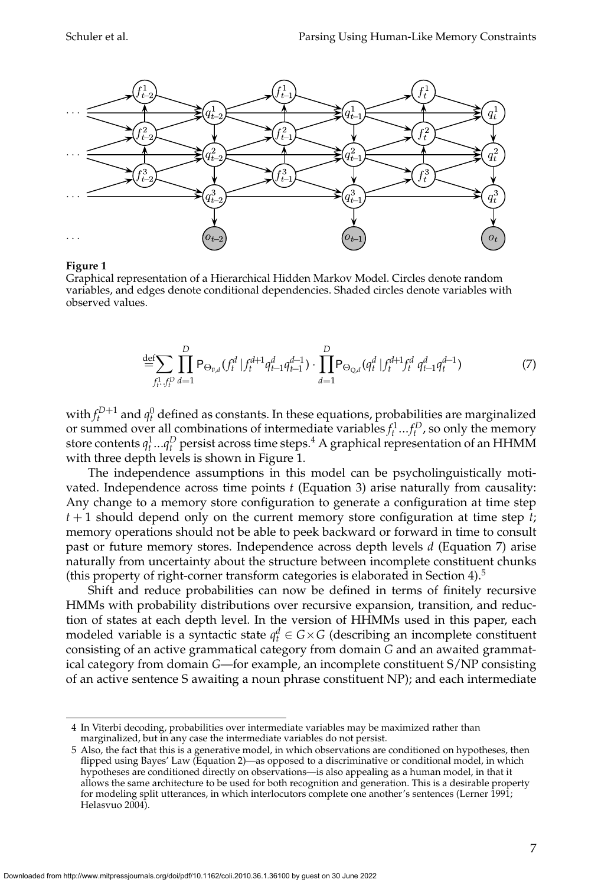

#### **Figure 1**

Graphical representation of a Hierarchical Hidden Markov Model. Circles denote random variables, and edges denote conditional dependencies. Shaded circles denote variables with observed values.

$$
\stackrel{\text{def}}{=} \sum_{f_t^1, f_t^0} \prod_{d=1}^D P_{\Theta_{F,d}}(f_t^d \mid f_t^{d+1} q_{t-1}^d q_{t-1}^{d-1}) \cdot \prod_{d=1}^D P_{\Theta_{Q,d}}(q_t^d \mid f_t^{d+1} f_t^d \mid q_{t-1}^d q_t^{d-1}) \tag{7}
$$

with  $f_t^{D+1}$  and  $q_t^0$  defined as constants. In these equations, probabilities are marginalized or summed over all combinations of intermediate variables  $f_t^1...f_t^D$ , so only the memory store contents  $q_t^1...q_t^D$  persist across time steps.<sup>4</sup> A graphical representation of an HHMM with three depth levels is shown in Figure 1.

The independence assumptions in this model can be psycholinguistically motivated. Independence across time points *t* (Equation 3) arise naturally from causality: Any change to a memory store configuration to generate a configuration at time step *t* + 1 should depend only on the current memory store configuration at time step *t*; memory operations should not be able to peek backward or forward in time to consult past or future memory stores. Independence across depth levels *d* (Equation 7) arise naturally from uncertainty about the structure between incomplete constituent chunks (this property of right-corner transform categories is elaborated in Section 4). $5$ 

Shift and reduce probabilities can now be defined in terms of finitely recursive HMMs with probability distributions over recursive expansion, transition, and reduction of states at each depth level. In the version of HHMMs used in this paper, each modeled variable is a syntactic state  $q_t^d \in G \times G$  (describing an incomplete constituent consisting of an active grammatical category from domain *G* and an awaited grammatical category from domain *G*—for example, an incomplete constituent S/NP consisting of an active sentence S awaiting a noun phrase constituent NP); and each intermediate

<sup>4</sup> In Viterbi decoding, probabilities over intermediate variables may be maximized rather than marginalized, but in any case the intermediate variables do not persist.

<sup>5</sup> Also, the fact that this is a generative model, in which observations are conditioned on hypotheses, then flipped using Bayes' Law (Equation 2)—as opposed to a discriminative or conditional model, in which hypotheses are conditioned directly on observations—is also appealing as a human model, in that it allows the same architecture to be used for both recognition and generation. This is a desirable property for modeling split utterances, in which interlocutors complete one another's sentences (Lerner 1991; Helasvuo 2004).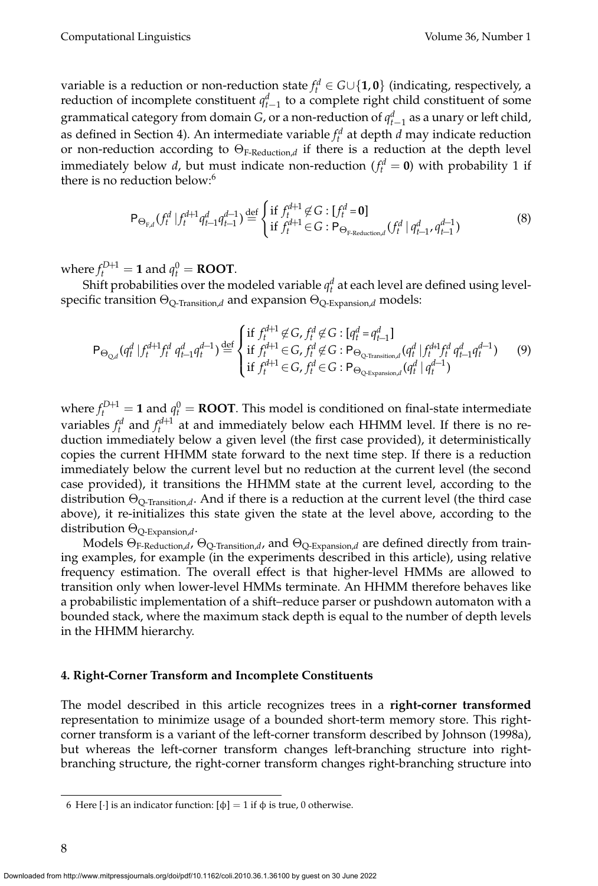variable is a reduction or non-reduction state  $f_t^d \in G \cup \{1,0\}$  (indicating, respectively, a reduction of incomplete constituent  $q_{t-1}^d$  to a complete right child constituent of some grammatical category from domain *G*, or a non-reduction of  $q_{t-1}^d$  as a unary or left child, as defined in Section 4). An intermediate variable  $f_t^d$  at depth  $d$  may indicate reduction or non-reduction according to ΘF-Reduction,*<sup>d</sup>* if there is a reduction at the depth level immediately below *d*, but must indicate non-reduction ( $f_t^d = 0$ ) with probability 1 if there is no reduction below:<sup>6</sup>

$$
\mathsf{P}_{\Theta_{F,d}}(f_t^d | f_t^{d+1} q_{t-1}^d q_{t-1}^{d-1}) \stackrel{\text{def}}{=} \begin{cases} \text{if } f_t^{d+1} \not\in G : [f_t^d = \mathbf{0}] \\ \text{if } f_t^{d+1} \in G : \mathsf{P}_{\Theta_{F\text{-Reduction},d}}(f_t^d | q_{t-1}^d, q_{t-1}^{d-1}) \end{cases} \tag{8}
$$

where  $f_t^{D+1} = 1$  and  $q_t^0 = \text{ROOT}$ .

Shift probabilities over the modeled variable  $q_t^d$  at each level are defined using levelspecific transition ΘQ-Transition,*<sup>d</sup>* and expansion ΘQ-Expansion,*<sup>d</sup>* models:

$$
\mathsf{P}_{\Theta_{\mathbb{Q},d}}(q_t^d | f_t^{d+1} f_t^d q_{t-1}^d q_t^{d-1}) \stackrel{\text{def}}{=} \begin{cases} \text{if } f_t^{d+1} \not\in G, f_t^d \not\in G : [q_t^d = q_{t-1}^d] \\ \text{if } f_t^{d+1} \in G, f_t^d \not\in G : \mathsf{P}_{\Theta_{\mathbb{Q}\text{-Transitional}}}(q_t^d | f_t^{d+1} f_t^d q_{t-1}^d q_t^{d-1}) \\ \text{if } f_t^{d+1} \in G, f_t^d \in G : \mathsf{P}_{\Theta_{\mathbb{Q}\text{-Exparation},d}}(q_t^d | q_t^{d-1}) \end{cases} \tag{9}
$$

where  $f_t^{D+1} = \mathbf{1}$  and  $q_t^0 = \text{ROOT}$ . This model is conditioned on final-state intermediate variables  $f_t^d$  and  $f_t^{d+1}$  at and immediately below each HHMM level. If there is no reduction immediately below a given level (the first case provided), it deterministically copies the current HHMM state forward to the next time step. If there is a reduction immediately below the current level but no reduction at the current level (the second case provided), it transitions the HHMM state at the current level, according to the distribution  $\Theta_{Q-Transition,d}$ . And if there is a reduction at the current level (the third case above), it re-initializes this state given the state at the level above, according to the distribution ΘQ-Expansion,*d*.

Models ΘF-Reduction,*d*, ΘQ-Transition,*d*, and ΘQ-Expansion,*<sup>d</sup>* are defined directly from training examples, for example (in the experiments described in this article), using relative frequency estimation. The overall effect is that higher-level HMMs are allowed to transition only when lower-level HMMs terminate. An HHMM therefore behaves like a probabilistic implementation of a shift–reduce parser or pushdown automaton with a bounded stack, where the maximum stack depth is equal to the number of depth levels in the HHMM hierarchy.

### **4. Right-Corner Transform and Incomplete Constituents**

The model described in this article recognizes trees in a **right-corner transformed** representation to minimize usage of a bounded short-term memory store. This rightcorner transform is a variant of the left-corner transform described by Johnson (1998a), but whereas the left-corner transform changes left-branching structure into rightbranching structure, the right-corner transform changes right-branching structure into

<sup>6</sup> Here [·] is an indicator function: [φ] = 1 if φ is true, 0 otherwise.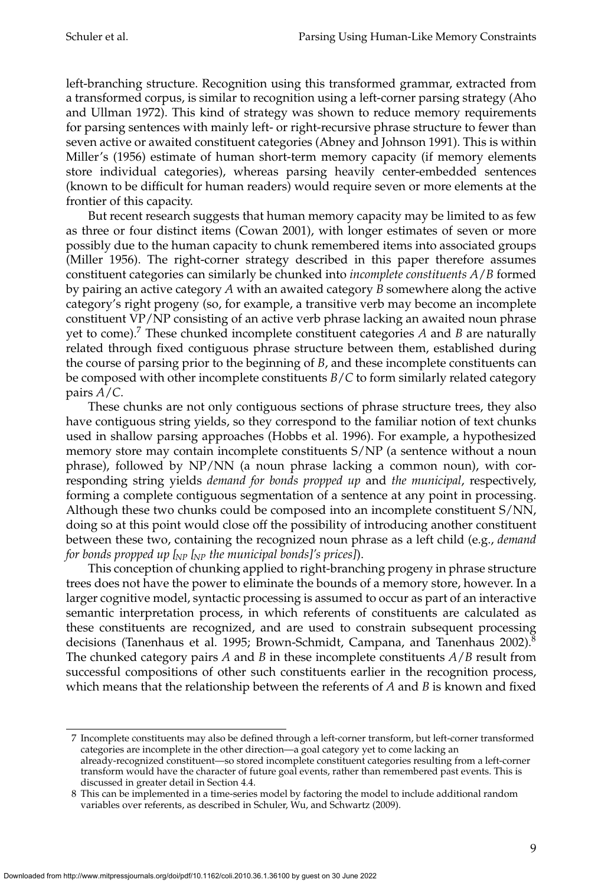left-branching structure. Recognition using this transformed grammar, extracted from a transformed corpus, is similar to recognition using a left-corner parsing strategy (Aho and Ullman 1972). This kind of strategy was shown to reduce memory requirements for parsing sentences with mainly left- or right-recursive phrase structure to fewer than seven active or awaited constituent categories (Abney and Johnson 1991). This is within Miller's (1956) estimate of human short-term memory capacity (if memory elements store individual categories), whereas parsing heavily center-embedded sentences (known to be difficult for human readers) would require seven or more elements at the frontier of this capacity.

But recent research suggests that human memory capacity may be limited to as few as three or four distinct items (Cowan 2001), with longer estimates of seven or more possibly due to the human capacity to chunk remembered items into associated groups (Miller 1956). The right-corner strategy described in this paper therefore assumes constituent categories can similarly be chunked into *incomplete constituents A*/*B* formed by pairing an active category *A* with an awaited category *B* somewhere along the active category's right progeny (so, for example, a transitive verb may become an incomplete constituent VP/NP consisting of an active verb phrase lacking an awaited noun phrase yet to come).<sup>7</sup> These chunked incomplete constituent categories *A* and *B* are naturally related through fixed contiguous phrase structure between them, established during the course of parsing prior to the beginning of *B*, and these incomplete constituents can be composed with other incomplete constituents *B*/*C* to form similarly related category pairs *A*/*C*.

These chunks are not only contiguous sections of phrase structure trees, they also have contiguous string yields, so they correspond to the familiar notion of text chunks used in shallow parsing approaches (Hobbs et al. 1996). For example, a hypothesized memory store may contain incomplete constituents S/NP (a sentence without a noun phrase), followed by NP/NN (a noun phrase lacking a common noun), with corresponding string yields *demand for bonds propped up* and *the municipal*, respectively, forming a complete contiguous segmentation of a sentence at any point in processing. Although these two chunks could be composed into an incomplete constituent S/NN, doing so at this point would close off the possibility of introducing another constituent between these two, containing the recognized noun phrase as a left child (e.g., *demand for bonds propped up [NP [NP the municipal bonds]'s prices]*).

This conception of chunking applied to right-branching progeny in phrase structure trees does not have the power to eliminate the bounds of a memory store, however. In a larger cognitive model, syntactic processing is assumed to occur as part of an interactive semantic interpretation process, in which referents of constituents are calculated as these constituents are recognized, and are used to constrain subsequent processing decisions (Tanenhaus et al. 1995; Brown-Schmidt, Campana, and Tanenhaus 2002).<sup>8</sup> The chunked category pairs  $A$  and  $B$  in these incomplete constituents  $A/B$  result from successful compositions of other such constituents earlier in the recognition process, which means that the relationship between the referents of  $A$  and  $B$  is known and fixed

<sup>7</sup> Incomplete constituents may also be defined through a left-corner transform, but left-corner transformed categories are incomplete in the other direction—a goal category yet to come lacking an already-recognized constituent—so stored incomplete constituent categories resulting from a left-corner

transform would have the character of future goal events, rather than remembered past events. This is discussed in greater detail in Section 4.4.

<sup>8</sup> This can be implemented in a time-series model by factoring the model to include additional random variables over referents, as described in Schuler, Wu, and Schwartz (2009).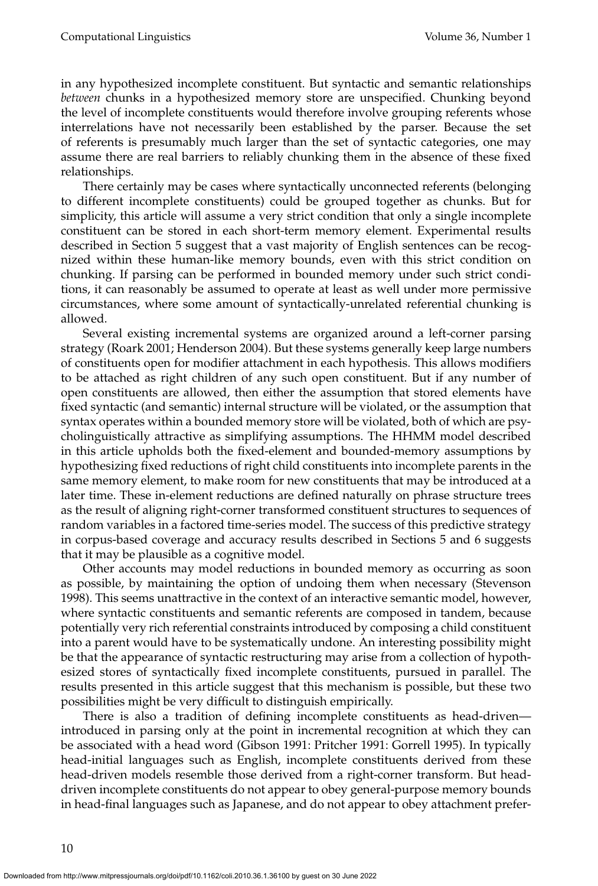in any hypothesized incomplete constituent. But syntactic and semantic relationships *between* chunks in a hypothesized memory store are unspecified. Chunking beyond the level of incomplete constituents would therefore involve grouping referents whose interrelations have not necessarily been established by the parser. Because the set of referents is presumably much larger than the set of syntactic categories, one may assume there are real barriers to reliably chunking them in the absence of these fixed relationships.

There certainly may be cases where syntactically unconnected referents (belonging to different incomplete constituents) could be grouped together as chunks. But for simplicity, this article will assume a very strict condition that only a single incomplete constituent can be stored in each short-term memory element. Experimental results described in Section 5 suggest that a vast majority of English sentences can be recognized within these human-like memory bounds, even with this strict condition on chunking. If parsing can be performed in bounded memory under such strict conditions, it can reasonably be assumed to operate at least as well under more permissive circumstances, where some amount of syntactically-unrelated referential chunking is allowed.

Several existing incremental systems are organized around a left-corner parsing strategy (Roark 2001; Henderson 2004). But these systems generally keeplarge numbers of constituents open for modifier attachment in each hypothesis. This allows modifiers to be attached as right children of any such open constituent. But if any number of open constituents are allowed, then either the assumption that stored elements have fixed syntactic (and semantic) internal structure will be violated, or the assumption that syntax operates within a bounded memory store will be violated, both of which are psycholinguistically attractive as simplifying assumptions. The HHMM model described in this article upholds both the fixed-element and bounded-memory assumptions by hypothesizing fixed reductions of right child constituents into incomplete parents in the same memory element, to make room for new constituents that may be introduced at a later time. These in-element reductions are defined naturally on phrase structure trees as the result of aligning right-corner transformed constituent structures to sequences of random variables in a factored time-series model. The success of this predictive strategy in corpus-based coverage and accuracy results described in Sections 5 and 6 suggests that it may be plausible as a cognitive model.

Other accounts may model reductions in bounded memory as occurring as soon as possible, by maintaining the option of undoing them when necessary (Stevenson 1998). This seems unattractive in the context of an interactive semantic model, however, where syntactic constituents and semantic referents are composed in tandem, because potentially very rich referential constraints introduced by composing a child constituent into a parent would have to be systematically undone. An interesting possibility might be that the appearance of syntactic restructuring may arise from a collection of hypothesized stores of syntactically fixed incomplete constituents, pursued in parallel. The results presented in this article suggest that this mechanism is possible, but these two possibilities might be very difficult to distinguish empirically.

There is also a tradition of defining incomplete constituents as head-driven introduced in parsing only at the point in incremental recognition at which they can be associated with a head word (Gibson 1991: Pritcher 1991: Gorrell 1995). In typically head-initial languages such as English, incomplete constituents derived from these head-driven models resemble those derived from a right-corner transform. But headdriven incomplete constituents do not appear to obey general-purpose memory bounds in head-final languages such as Japanese, and do not appear to obey attachment prefer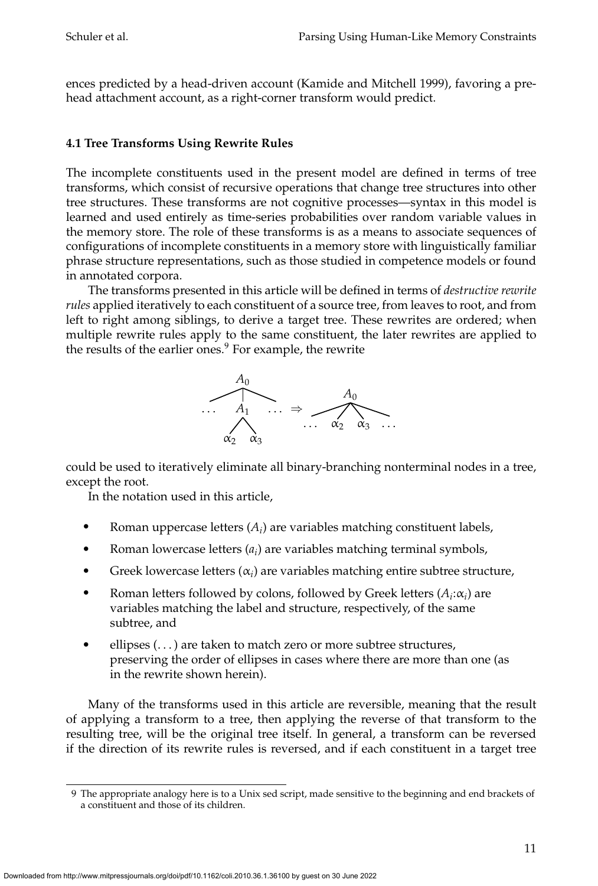ences predicted by a head-driven account (Kamide and Mitchell 1999), favoring a prehead attachment account, as a right-corner transform would predict.

# **4.1 Tree Transforms Using Rewrite Rules**

The incomplete constituents used in the present model are defined in terms of tree transforms, which consist of recursive operations that change tree structures into other tree structures. These transforms are not cognitive processes—syntax in this model is learned and used entirely as time-series probabilities over random variable values in the memory store. The role of these transforms is as a means to associate sequences of configurations of incomplete constituents in a memory store with linguistically familiar phrase structure representations, such as those studied in competence models or found in annotated corpora.

The transforms presented in this article will be defined in terms of *destructive rewrite rules* applied iteratively to each constituent of a source tree, from leaves to root, and from left to right among siblings, to derive a target tree. These rewrites are ordered; when multiple rewrite rules apply to the same constituent, the later rewrites are applied to the results of the earlier ones.<sup>9</sup> For example, the rewrite



could be used to iteratively eliminate all binary-branching nonterminal nodes in a tree, except the root.

In the notation used in this article,

- Roman uppercase letters  $(A_i)$  are variables matching constituent labels,
- Roman lowercase letters (*ai*) are variables matching terminal symbols,
- Greek lowercase letters  $(\alpha_i)$  are variables matching entire subtree structure,
- **Roman letters followed by colons, followed by Greek letters**  $(A_i:\alpha_i)$  **are** variables matching the label and structure, respectively, of the same subtree, and
- ellipses  $(\ldots)$  are taken to match zero or more subtree structures, preserving the order of ellipses in cases where there are more than one (as in the rewrite shown herein).

Many of the transforms used in this article are reversible, meaning that the result of applying a transform to a tree, then applying the reverse of that transform to the resulting tree, will be the original tree itself. In general, a transform can be reversed if the direction of its rewrite rules is reversed, and if each constituent in a target tree

<sup>9</sup> The appropriate analogy here is to a Unix sed script, made sensitive to the beginning and end brackets of a constituent and those of its children.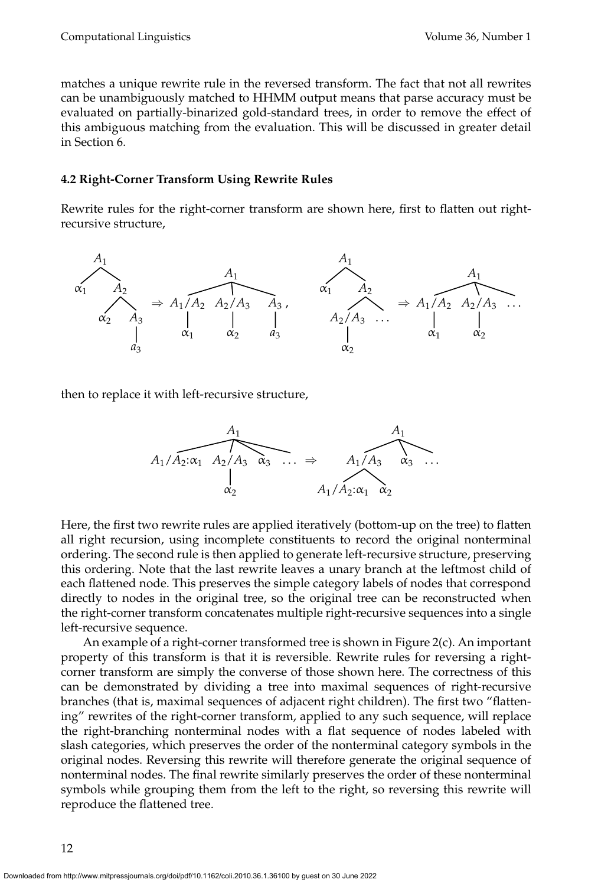matches a unique rewrite rule in the reversed transform. The fact that not all rewrites can be unambiguously matched to HHMM output means that parse accuracy must be evaluated on partially-binarized gold-standard trees, in order to remove the effect of this ambiguous matching from the evaluation. This will be discussed in greater detail in Section 6.

### **4.2 Right-Corner Transform Using Rewrite Rules**

Rewrite rules for the right-corner transform are shown here, first to flatten out rightrecursive structure,



then to replace it with left-recursive structure,



Here, the first two rewrite rules are applied iteratively (bottom-up on the tree) to flatten all right recursion, using incomplete constituents to record the original nonterminal ordering. The second rule is then applied to generate left-recursive structure, preserving this ordering. Note that the last rewrite leaves a unary branch at the leftmost child of each flattened node. This preserves the simple category labels of nodes that correspond directly to nodes in the original tree, so the original tree can be reconstructed when the right-corner transform concatenates multiple right-recursive sequences into a single left-recursive sequence.

An example of a right-corner transformed tree is shown in Figure 2(c). An important property of this transform is that it is reversible. Rewrite rules for reversing a rightcorner transform are simply the converse of those shown here. The correctness of this can be demonstrated by dividing a tree into maximal sequences of right-recursive branches (that is, maximal sequences of adjacent right children). The first two "flattening" rewrites of the right-corner transform, applied to any such sequence, will replace the right-branching nonterminal nodes with a flat sequence of nodes labeled with slash categories, which preserves the order of the nonterminal category symbols in the original nodes. Reversing this rewrite will therefore generate the original sequence of nonterminal nodes. The final rewrite similarly preserves the order of these nonterminal symbols while grouping them from the left to the right, so reversing this rewrite will reproduce the flattened tree.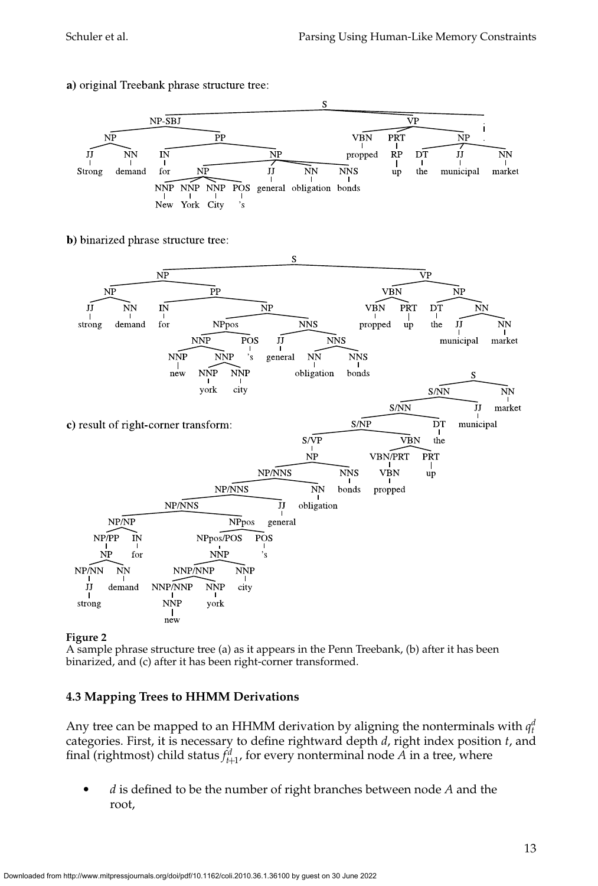

a) original Treebank phrase structure tree:

b) binarized phrase structure tree:



### **Figure 2**

A sample phrase structure tree (a) as it appears in the Penn Treebank, (b) after it has been binarized, and (c) after it has been right-corner transformed.

### **4.3 Mapping Trees to HHMM Derivations**

Any tree can be mapped to an HHMM derivation by aligning the nonterminals with  $q_t^d$ categories. First, it is necessary to define rightward depth *d*, right index position *t*, and final (rightmost) child status  $f_{t+1}^d$ , for every nonterminal node  $A$  in a tree, where

 *d* is defined to be the number of right branches between node *A* and the root,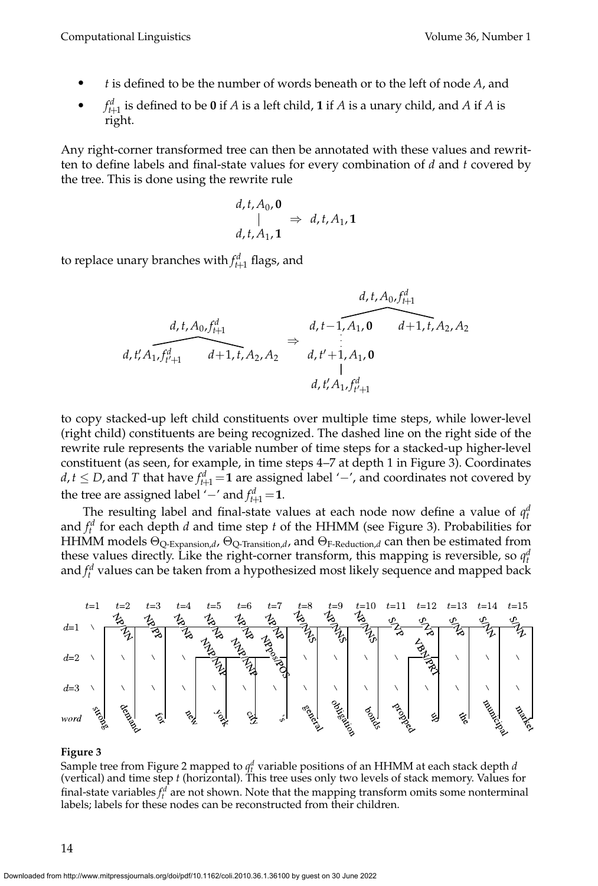- *t* is defined to be the number of words beneath or to the left of node *A*, and
- *f* $f_{t+1}^d$  is defined to be **0** if *A* is a left child, **1** if *A* is a unary child, and *A* if *A* is right.

Any right-corner transformed tree can then be annotated with these values and rewritten to define labels and final-state values for every combination of *d* and *t* covered by the tree. This is done using the rewrite rule

$$
\begin{array}{l}\n d, t, A_0, \mathbf{0} \\
\mid \\
d, t, A_1, \mathbf{1}\n \end{array}\n \Rightarrow d, t, A_1, \mathbf{1}
$$

to replace unary branches with  $f_{t+1}^d$  flags, and

$$
d, t, A_0, f_{t+1}^d
$$
\n
$$
d, t, A_0, f_{t+1}^d
$$
\n
$$
d, t', A_1, f_{t'+1}^d
$$
\n
$$
d+1, t, A_2, A_2
$$
\n
$$
d, t' + 1, A_1, 0
$$
\n
$$
d, t', A_1, f_{t'+1}^d
$$
\n
$$
d, t', A_1, f_{t'+1}^d
$$
\n
$$
d, t', A_1, f_{t'+1}^d
$$

to copy stacked-up left child constituents over multiple time steps, while lower-level (right child) constituents are being recognized. The dashed line on the right side of the rewrite rule represents the variable number of time steps for a stacked-up higher-level constituent (as seen, for example, in time steps 4–7 at depth 1 in Figure 3). Coordinates *d*,*t* ≤ *D*, and *T* that have  $f_{t+1}^d$  =1 are assigned label '−', and coordinates not covered by the tree are assigned label '−' and  $f_{t+1}^d$  = 1.

The resulting label and final-state values at each node now define a value of  $q_t^d$ and  $f_t^d$  for each depth *d* and time step *t* of the HHMM (see Figure 3). Probabilities for HHMM models  $\Theta_{Q\text{-Expansion},d}$ ,  $\Theta_{Q\text{-transition},d}$ , and  $\Theta_{F\text{-Reduction},d}$  can then be estimated from these values directly. Like the right-corner transform, this mapping is reversible, so  $q_t^d$ and  $f_t^d$  values can be taken from a hypothesized most likely sequence and mapped back



#### **Figure 3**

Sample tree from Figure 2 mapped to *q<sup>d</sup> <sup>t</sup>* variable positions of an HHMM at each stack depth *d* (vertical) and time step *t* (horizontal). This tree uses only two levels of stack memory. Values for final-state variables  $f_t^d$  are not shown. Note that the mapping transform omits some nonterminal labels; labels for these nodes can be reconstructed from their children.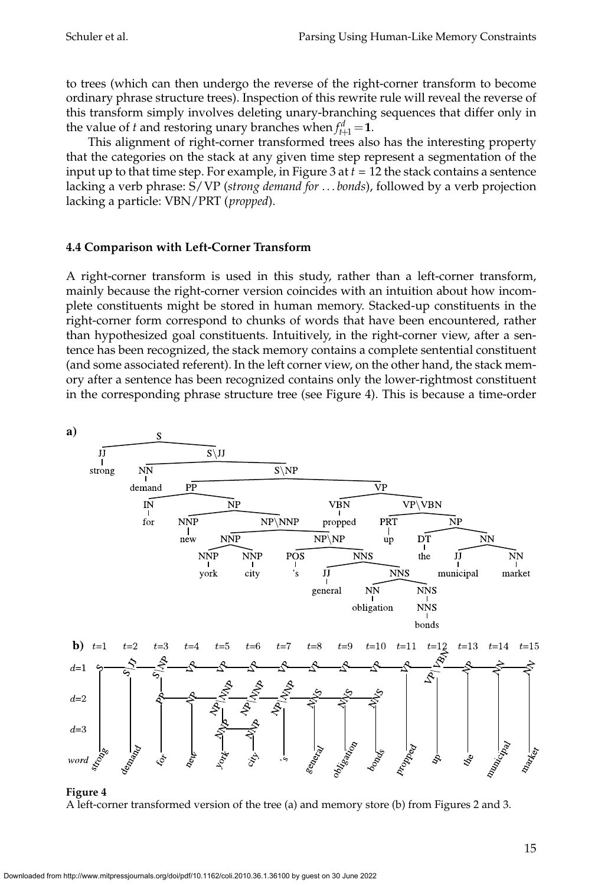to trees (which can then undergo the reverse of the right-corner transform to become ordinary phrase structure trees). Inspection of this rewrite rule will reveal the reverse of this transform simply involves deleting unary-branching sequences that differ only in the value of *t* and restoring unary branches when  $f_{t+1}^d = 1$ .

This alignment of right-corner transformed trees also has the interesting property that the categories on the stack at any given time steprepresent a segmentation of the input up to that time step. For example, in Figure 3 at  $t = 12$  the stack contains a sentence lacking a verb phrase: S/VP (*strong demand for . . . bonds*), followed by a verb projection lacking a particle: VBN/PRT (*propped*).

# **4.4 Comparison with Left-Corner Transform**

A right-corner transform is used in this study, rather than a left-corner transform, mainly because the right-corner version coincides with an intuition about how incomplete constituents might be stored in human memory. Stacked-up constituents in the right-corner form correspond to chunks of words that have been encountered, rather than hypothesized goal constituents. Intuitively, in the right-corner view, after a sentence has been recognized, the stack memory contains a complete sentential constituent (and some associated referent). In the left corner view, on the other hand, the stack memory after a sentence has been recognized contains only the lower-rightmost constituent in the corresponding phrase structure tree (see Figure 4). This is because a time-order



#### **Figure 4** A left-corner transformed version of the tree (a) and memory store (b) from Figures 2 and 3.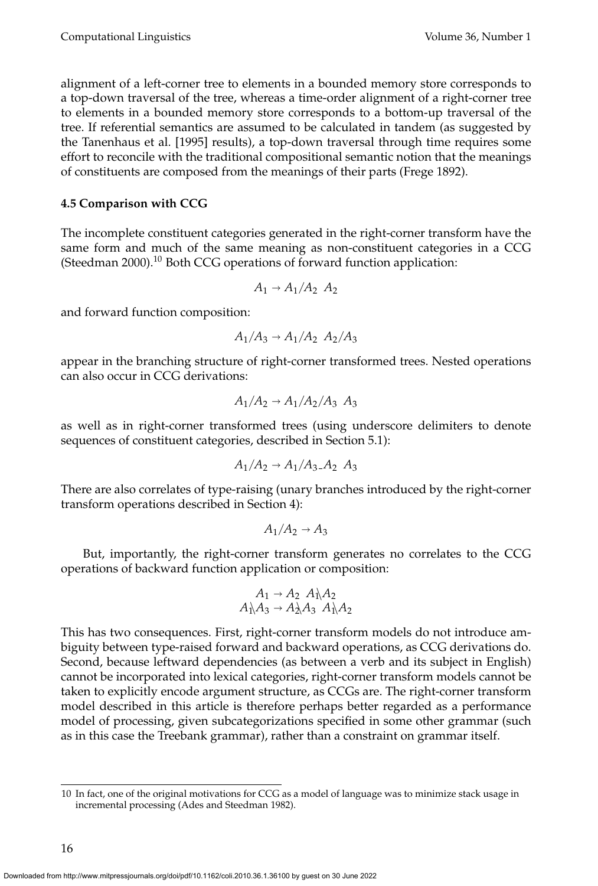alignment of a left-corner tree to elements in a bounded memory store corresponds to a top-down traversal of the tree, whereas a time-order alignment of a right-corner tree to elements in a bounded memory store corresponds to a bottom-up traversal of the tree. If referential semantics are assumed to be calculated in tandem (as suggested by the Tanenhaus et al. [1995] results), a top-down traversal through time requires some effort to reconcile with the traditional compositional semantic notion that the meanings of constituents are composed from the meanings of their parts (Frege 1892).

# **4.5 Comparison with CCG**

The incomplete constituent categories generated in the right-corner transform have the same form and much of the same meaning as non-constituent categories in a CCG (Steedman 2000).<sup>10</sup> Both CCG operations of forward function application:

$$
A_1 \rightarrow A_1/A_2 A_2
$$

and forward function composition:

$$
A_1/A_3 \rightarrow A_1/A_2 A_2/A_3
$$

appear in the branching structure of right-corner transformed trees. Nested operations can also occur in CCG derivations:

$$
A_1/A_2 \rightarrow A_1/A_2/A_3 A_3
$$

as well as in right-corner transformed trees (using underscore delimiters to denote sequences of constituent categories, described in Section 5.1):

$$
A_1/A_2 \rightarrow A_1/A_3.A_2 A_3
$$

There are also correlates of type-raising (unary branches introduced by the right-corner transform operations described in Section 4):

$$
A_1/A_2 \to A_3
$$

But, importantly, the right-corner transform generates no correlates to the CCG operations of backward function application or composition:

$$
A_1 \rightarrow A_2 A_1 A_2 A_1 A_3 \rightarrow A_2 A_3 A_1 A_2
$$

This has two consequences. First, right-corner transform models do not introduce ambiguity between type-raised forward and backward operations, as CCG derivations do. Second, because leftward dependencies (as between a verb and its subject in English) cannot be incorporated into lexical categories, right-corner transform models cannot be taken to explicitly encode argument structure, as CCGs are. The right-corner transform model described in this article is therefore perhaps better regarded as a performance model of processing, given subcategorizations specified in some other grammar (such as in this case the Treebank grammar), rather than a constraint on grammar itself.

<sup>10</sup> In fact, one of the original motivations for CCG as a model of language was to minimize stack usage in incremental processing (Ades and Steedman 1982).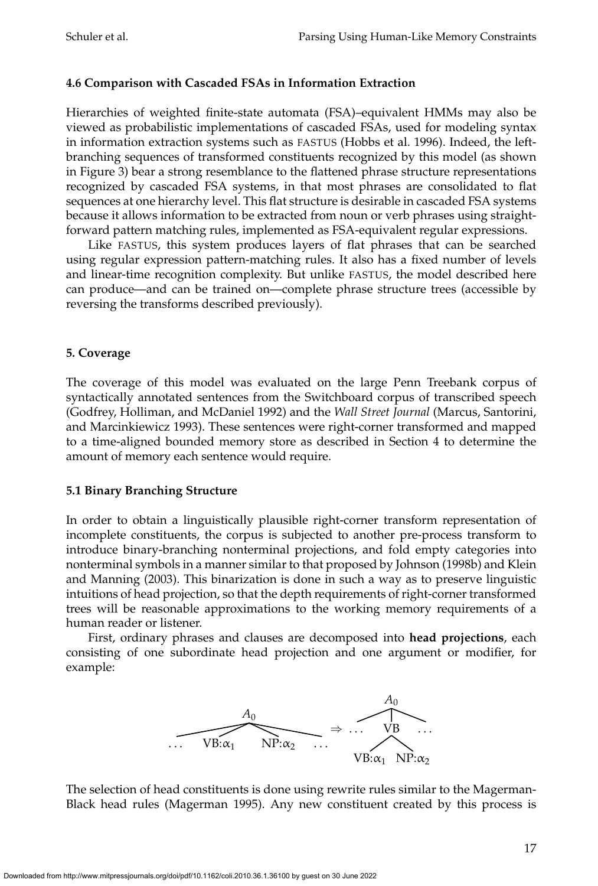# **4.6 Comparison with Cascaded FSAs in Information Extraction**

Hierarchies of weighted finite-state automata (FSA)–equivalent HMMs may also be viewed as probabilistic implementations of cascaded FSAs, used for modeling syntax in information extraction systems such as FASTUS (Hobbs et al. 1996). Indeed, the leftbranching sequences of transformed constituents recognized by this model (as shown in Figure 3) bear a strong resemblance to the flattened phrase structure representations recognized by cascaded FSA systems, in that most phrases are consolidated to flat sequences at one hierarchy level. This flat structure is desirable in cascaded FSA systems because it allows information to be extracted from noun or verb phrases using straightforward pattern matching rules, implemented as FSA-equivalent regular expressions.

Like FASTUS, this system produces layers of flat phrases that can be searched using regular expression pattern-matching rules. It also has a fixed number of levels and linear-time recognition complexity. But unlike FASTUS, the model described here can produce—and can be trained on—complete phrase structure trees (accessible by reversing the transforms described previously).

# **5. Coverage**

The coverage of this model was evaluated on the large Penn Treebank corpus of syntactically annotated sentences from the Switchboard corpus of transcribed speech (Godfrey, Holliman, and McDaniel 1992) and the *Wall Street Journal* (Marcus, Santorini, and Marcinkiewicz 1993). These sentences were right-corner transformed and mapped to a time-aligned bounded memory store as described in Section 4 to determine the amount of memory each sentence would require.

### **5.1 Binary Branching Structure**

In order to obtain a linguistically plausible right-corner transform representation of incomplete constituents, the corpus is subjected to another pre-process transform to introduce binary-branching nonterminal projections, and fold empty categories into nonterminal symbols in a manner similar to that proposed by Johnson (1998b) and Klein and Manning (2003). This binarization is done in such a way as to preserve linguistic intuitions of head projection, so that the depth requirements of right-corner transformed trees will be reasonable approximations to the working memory requirements of a human reader or listener.

First, ordinary phrases and clauses are decomposed into **head projections**, each consisting of one subordinate head projection and one argument or modifier, for example:



The selection of head constituents is done using rewrite rules similar to the Magerman-Black head rules (Magerman 1995). Any new constituent created by this process is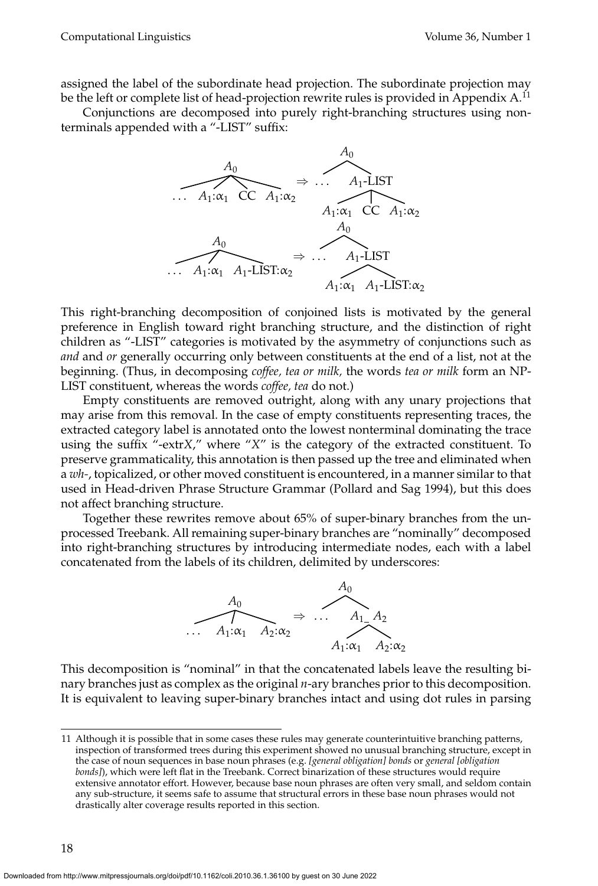assigned the label of the subordinate head projection. The subordinate projection may be the left or complete list of head-projection rewrite rules is provided in Appendix A.<sup>11</sup>

Conjunctions are decomposed into purely right-branching structures using nonterminals appended with a "-LIST" suffix:



This right-branching decomposition of conjoined lists is motivated by the general preference in English toward right branching structure, and the distinction of right children as "-LIST" categories is motivated by the asymmetry of conjunctions such as *and* and *or* generally occurring only between constituents at the end of a list, not at the beginning. (Thus, in decomposing *coffee, tea or milk,* the words *tea or milk* form an NP-LIST constituent, whereas the words *coffee, tea* do not.)

Empty constituents are removed outright, along with any unary projections that may arise from this removal. In the case of empty constituents representing traces, the extracted category label is annotated onto the lowest nonterminal dominating the trace using the suffix "-extr*X*," where "*X*" is the category of the extracted constituent. To preserve grammaticality, this annotation is then passed up the tree and eliminated when a *wh-*, topicalized, or other moved constituent is encountered, in a manner similar to that used in Head-driven Phrase Structure Grammar (Pollard and Sag 1994), but this does not affect branching structure.

Together these rewrites remove about 65% of super-binary branches from the unprocessed Treebank. All remaining super-binary branches are "nominally" decomposed into right-branching structures by introducing intermediate nodes, each with a label concatenated from the labels of its children, delimited by underscores:



This decomposition is "nominal" in that the concatenated labels leave the resulting binary branches just as complex as the original *n*-ary branches prior to this decomposition. It is equivalent to leaving super-binary branches intact and using dot rules in parsing

<sup>11</sup> Although it is possible that in some cases these rules may generate counterintuitive branching patterns, inspection of transformed trees during this experiment showed no unusual branching structure, except in the case of noun sequences in base noun phrases (e.g. *[general obligation] bonds* or *general [obligation bonds]*), which were left flat in the Treebank. Correct binarization of these structures would require extensive annotator effort. However, because base noun phrases are often very small, and seldom contain any sub-structure, it seems safe to assume that structural errors in these base noun phrases would not drastically alter coverage results reported in this section.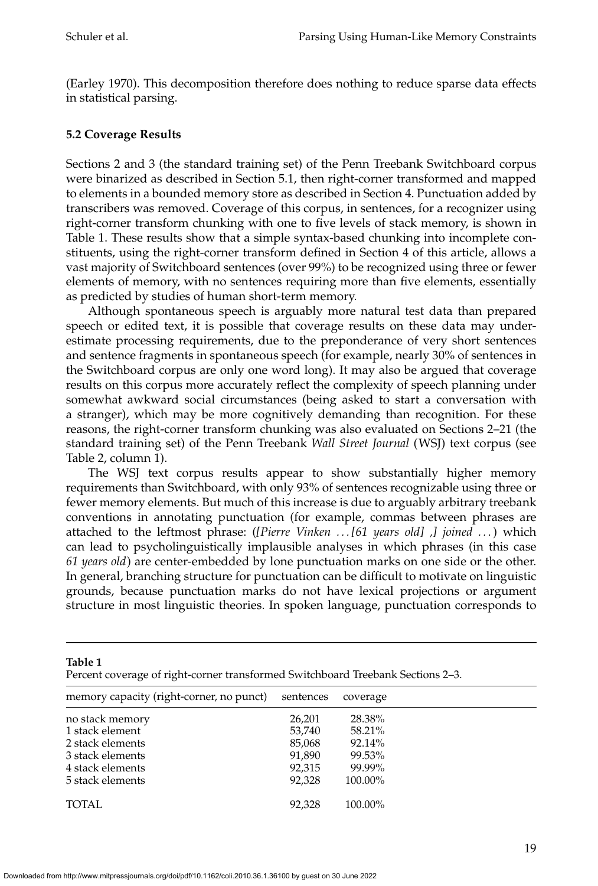(Earley 1970). This decomposition therefore does nothing to reduce sparse data effects in statistical parsing.

# **5.2 Coverage Results**

Sections 2 and 3 (the standard training set) of the Penn Treebank Switchboard corpus were binarized as described in Section 5.1, then right-corner transformed and mapped to elements in a bounded memory store as described in Section 4. Punctuation added by transcribers was removed. Coverage of this corpus, in sentences, for a recognizer using right-corner transform chunking with one to five levels of stack memory, is shown in Table 1. These results show that a simple syntax-based chunking into incomplete constituents, using the right-corner transform defined in Section 4 of this article, allows a vast majority of Switchboard sentences (over 99%) to be recognized using three or fewer elements of memory, with no sentences requiring more than five elements, essentially as predicted by studies of human short-term memory.

Although spontaneous speech is arguably more natural test data than prepared speech or edited text, it is possible that coverage results on these data may underestimate processing requirements, due to the preponderance of very short sentences and sentence fragments in spontaneous speech (for example, nearly 30% of sentences in the Switchboard corpus are only one word long). It may also be argued that coverage results on this corpus more accurately reflect the complexity of speech planning under somewhat awkward social circumstances (being asked to start a conversation with a stranger), which may be more cognitively demanding than recognition. For these reasons, the right-corner transform chunking was also evaluated on Sections 2–21 (the standard training set) of the Penn Treebank *Wall Street Journal* (WSJ) text corpus (see Table 2, column 1).

The WSJ text corpus results appear to show substantially higher memory requirements than Switchboard, with only 93% of sentences recognizable using three or fewer memory elements. But much of this increase is due to arguably arbitrary treebank conventions in annotating punctuation (for example, commas between phrases are attached to the leftmost phrase: (*[Pierre Vinken . . . [61 years old] ,] joined . . .*) which can lead to psycholinguistically implausible analyses in which phrases (in this case *61 years old*) are center-embedded by lone punctuation marks on one side or the other. In general, branching structure for punctuation can be difficult to motivate on linguistic grounds, because punctuation marks do not have lexical projections or argument structure in most linguistic theories. In spoken language, punctuation corresponds to

| Table 1<br>Percent coverage of right-corner transformed Switchboard Treebank Sections 2–3. |           |          |  |  |  |  |  |
|--------------------------------------------------------------------------------------------|-----------|----------|--|--|--|--|--|
| memory capacity (right-corner, no punct)                                                   | sentences | coverage |  |  |  |  |  |
| no stack memory                                                                            | 26,201    | 28.38%   |  |  |  |  |  |
| 1 stack element                                                                            | 53,740    | 58.21%   |  |  |  |  |  |
| 2 stack elements                                                                           | 85,068    | 92.14%   |  |  |  |  |  |
| 3 stack elements                                                                           | 91,890    | 99.53%   |  |  |  |  |  |
| 4 stack elements                                                                           | 92,315    | 99.99%   |  |  |  |  |  |
| 5 stack elements                                                                           | 92,328    | 100.00%  |  |  |  |  |  |
| <b>TOTAL</b>                                                                               | 92,328    | 100.00%  |  |  |  |  |  |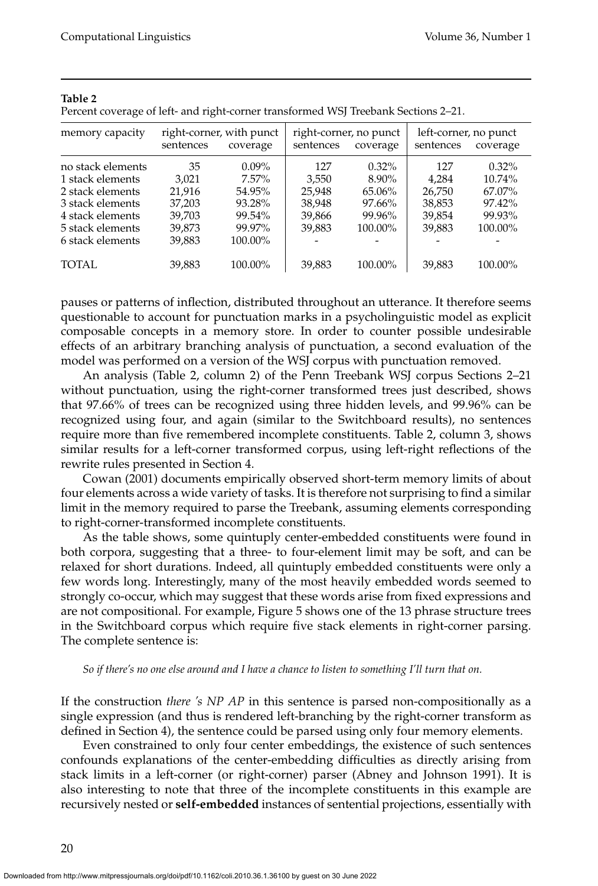| memory capacity   | sentences | right-corner, with punct<br>coverage | sentences | right-corner, no punct<br>coverage | left-corner, no punct<br>sentences | coverage  |
|-------------------|-----------|--------------------------------------|-----------|------------------------------------|------------------------------------|-----------|
| no stack elements | 35        | $0.09\%$                             | 127       | $0.32\%$                           | 127                                | $0.32\%$  |
| 1 stack elements  | 3.021     | $7.57\%$                             | 3,550     | 8.90%                              | 4.284                              | $10.74\%$ |
| 2 stack elements  | 21.916    | 54.95%                               | 25.948    | 65.06%                             | 26,750                             | 67.07%    |
| 3 stack elements  | 37,203    | 93.28%                               | 38,948    | 97.66%                             | 38,853                             | 97.42%    |
| 4 stack elements  | 39,703    | 99.54%                               | 39,866    | 99.96%                             | 39,854                             | 99.93%    |
| 5 stack elements  | 39,873    | 99.97%                               | 39,883    | 100.00%                            | 39,883                             | 100.00%   |
| 6 stack elements  | 39,883    | 100.00%                              |           |                                    |                                    |           |
| TOTAL             | 39,883    | 100.00%                              | 39,883    | 100.00%                            | 39,883                             | 100.00%   |

#### **Table 2**

Percent coverage of left- and right-corner transformed WSJ Treebank Sections 2–21.

pauses or patterns of inflection, distributed throughout an utterance. It therefore seems questionable to account for punctuation marks in a psycholinguistic model as explicit composable concepts in a memory store. In order to counter possible undesirable effects of an arbitrary branching analysis of punctuation, a second evaluation of the model was performed on a version of the WSJ corpus with punctuation removed.

An analysis (Table 2, column 2) of the Penn Treebank WSJ corpus Sections 2–21 without punctuation, using the right-corner transformed trees just described, shows that 97.66% of trees can be recognized using three hidden levels, and 99.96% can be recognized using four, and again (similar to the Switchboard results), no sentences require more than five remembered incomplete constituents. Table 2, column 3, shows similar results for a left-corner transformed corpus, using left-right reflections of the rewrite rules presented in Section 4.

Cowan (2001) documents empirically observed short-term memory limits of about four elements across a wide variety of tasks. It is therefore not surprising to find a similar limit in the memory required to parse the Treebank, assuming elements corresponding to right-corner-transformed incomplete constituents.

As the table shows, some quintuply center-embedded constituents were found in both corpora, suggesting that a three- to four-element limit may be soft, and can be relaxed for short durations. Indeed, all quintuply embedded constituents were only a few words long. Interestingly, many of the most heavily embedded words seemed to strongly co-occur, which may suggest that these words arise from fixed expressions and are not compositional. For example, Figure 5 shows one of the 13 phrase structure trees in the Switchboard corpus which require five stack elements in right-corner parsing. The complete sentence is:

#### *So if there's no one else around and I have a chance to listen to something I'll turn that on.*

If the construction *there 's NP AP* in this sentence is parsed non-compositionally as a single expression (and thus is rendered left-branching by the right-corner transform as defined in Section 4), the sentence could be parsed using only four memory elements.

Even constrained to only four center embeddings, the existence of such sentences confounds explanations of the center-embedding difficulties as directly arising from stack limits in a left-corner (or right-corner) parser (Abney and Johnson 1991). It is also interesting to note that three of the incomplete constituents in this example are recursively nested or **self-embedded** instances of sentential projections, essentially with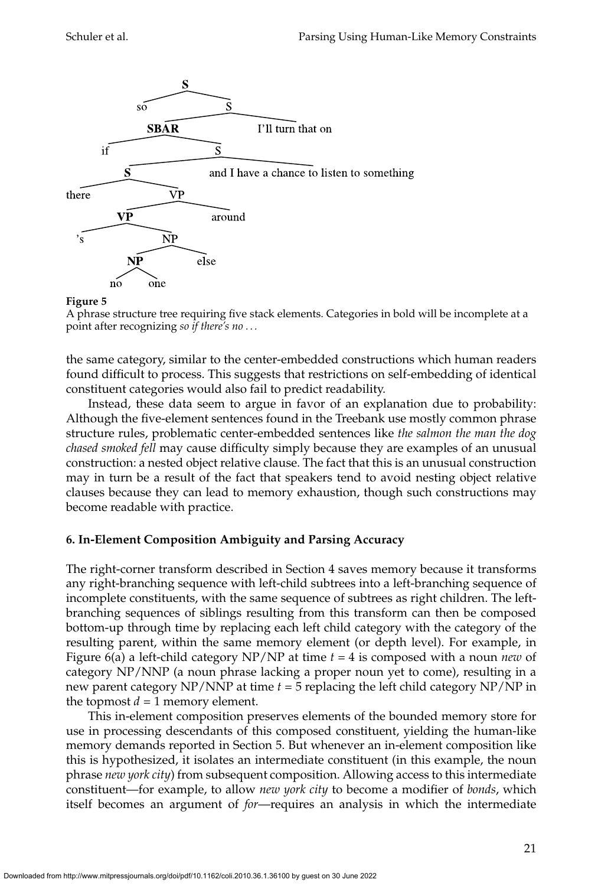

#### **Figure 5**



the same category, similar to the center-embedded constructions which human readers found difficult to process. This suggests that restrictions on self-embedding of identical constituent categories would also fail to predict readability.

Instead, these data seem to argue in favor of an explanation due to probability: Although the five-element sentences found in the Treebank use mostly common phrase structure rules, problematic center-embedded sentences like *the salmon the man the dog chased smoked fell* may cause difficulty simply because they are examples of an unusual construction: a nested object relative clause. The fact that this is an unusual construction may in turn be a result of the fact that speakers tend to avoid nesting object relative clauses because they can lead to memory exhaustion, though such constructions may become readable with practice.

### **6. In-Element Composition Ambiguity and Parsing Accuracy**

The right-corner transform described in Section 4 saves memory because it transforms any right-branching sequence with left-child subtrees into a left-branching sequence of incomplete constituents, with the same sequence of subtrees as right children. The leftbranching sequences of siblings resulting from this transform can then be composed bottom-up through time by replacing each left child category with the category of the resulting parent, within the same memory element (or depth level). For example, in Figure 6(a) a left-child category NP/NP at time *t* = 4 is composed with a noun *new* of category NP/NNP (a noun phrase lacking a proper noun yet to come), resulting in a new parent category NP/NNP at time *t* = 5 replacing the left child category NP/NP in the topmost  $d = 1$  memory element.

This in-element composition preserves elements of the bounded memory store for use in processing descendants of this composed constituent, yielding the human-like memory demands reported in Section 5. But whenever an in-element composition like this is hypothesized, it isolates an intermediate constituent (in this example, the noun phrase *new york city*) from subsequent composition. Allowing access to this intermediate constituent—for example, to allow *new york city* to become a modifier of *bonds*, which itself becomes an argument of *for*—requires an analysis in which the intermediate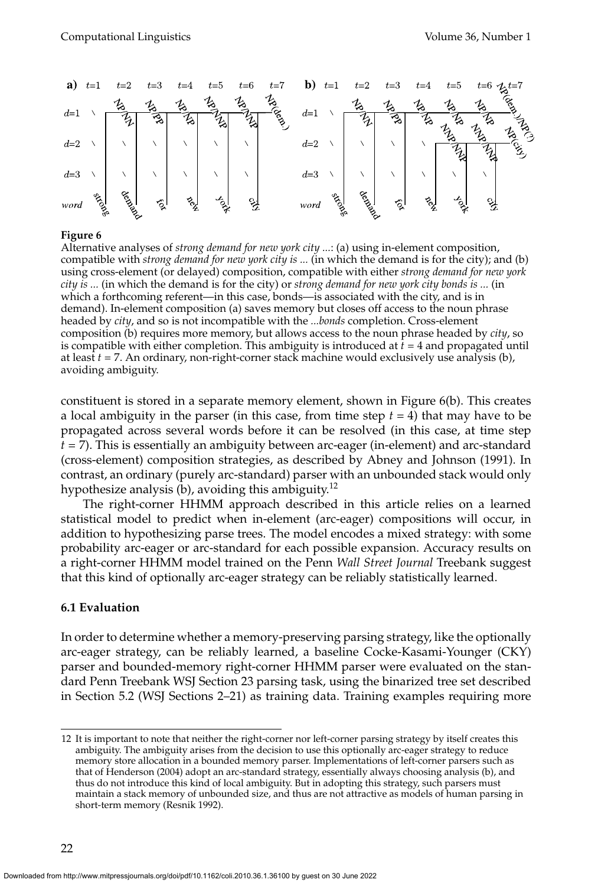

#### **Figure 6**

Alternative analyses of *strong demand for new york city ...*: (a) using in-element composition, compatible with *strong demand for new york city is ...* (in which the demand is for the city); and (b) using cross-element (or delayed) composition, compatible with either *strong demand for new york city is ...* (in which the demand is for the city) or *strong demand for new york city bonds is ...* (in which a forthcoming referent—in this case, bonds—is associated with the city, and is in demand). In-element composition (a) saves memory but closes off access to the noun phrase headed by *city*, and so is not incompatible with the *...bonds* completion. Cross-element composition (b) requires more memory, but allows access to the noun phrase headed by *city*, so is compatible with either completion. This ambiguity is introduced at  $\bar{t} = 4$  and propagated until at least *t* = 7. An ordinary, non-right-corner stack machine would exclusively use analysis (b), avoiding ambiguity.

constituent is stored in a separate memory element, shown in Figure 6(b). This creates a local ambiguity in the parser (in this case, from time step *t* = 4) that may have to be propagated across several words before it can be resolved (in this case, at time step *t* = 7). This is essentially an ambiguity between arc-eager (in-element) and arc-standard (cross-element) composition strategies, as described by Abney and Johnson (1991). In contrast, an ordinary (purely arc-standard) parser with an unbounded stack would only hypothesize analysis (b), avoiding this ambiguity.<sup>12</sup>

The right-corner HHMM approach described in this article relies on a learned statistical model to predict when in-element (arc-eager) compositions will occur, in addition to hypothesizing parse trees. The model encodes a mixed strategy: with some probability arc-eager or arc-standard for each possible expansion. Accuracy results on a right-corner HHMM model trained on the Penn *Wall Street Journal* Treebank suggest that this kind of optionally arc-eager strategy can be reliably statistically learned.

#### **6.1 Evaluation**

In order to determine whether a memory-preserving parsing strategy, like the optionally arc-eager strategy, can be reliably learned, a baseline Cocke-Kasami-Younger (CKY) parser and bounded-memory right-corner HHMM parser were evaluated on the standard Penn Treebank WSJ Section 23 parsing task, using the binarized tree set described in Section 5.2 (WSJ Sections 2–21) as training data. Training examples requiring more

<sup>12</sup> It is important to note that neither the right-corner nor left-corner parsing strategy by itself creates this ambiguity. The ambiguity arises from the decision to use this optionally arc-eager strategy to reduce memory store allocation in a bounded memory parser. Implementations of left-corner parsers such as that of Henderson (2004) adopt an arc-standard strategy, essentially always choosing analysis (b), and thus do not introduce this kind of local ambiguity. But in adopting this strategy, such parsers must maintain a stack memory of unbounded size, and thus are not attractive as models of human parsing in short-term memory (Resnik 1992).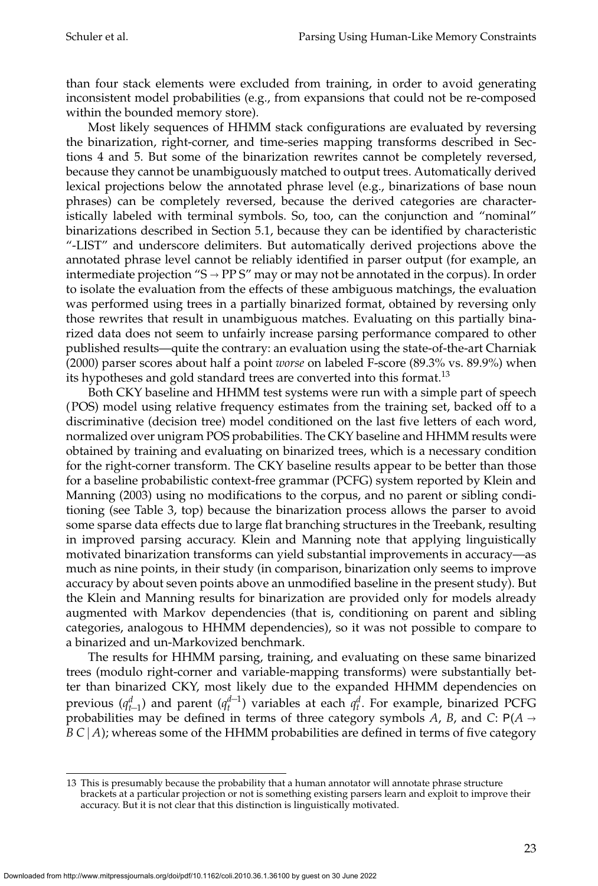than four stack elements were excluded from training, in order to avoid generating inconsistent model probabilities (e.g., from expansions that could not be re-composed within the bounded memory store).

Most likely sequences of HHMM stack configurations are evaluated by reversing the binarization, right-corner, and time-series mapping transforms described in Sections 4 and 5. But some of the binarization rewrites cannot be completely reversed, because they cannot be unambiguously matched to output trees. Automatically derived lexical projections below the annotated phrase level (e.g., binarizations of base noun phrases) can be completely reversed, because the derived categories are characteristically labeled with terminal symbols. So, too, can the conjunction and "nominal" binarizations described in Section 5.1, because they can be identified by characteristic "-LIST" and underscore delimiters. But automatically derived projections above the annotated phrase level cannot be reliably identified in parser output (for example, an intermediate projection "S  $\rightarrow$  PP S" may or may not be annotated in the corpus). In order to isolate the evaluation from the effects of these ambiguous matchings, the evaluation was performed using trees in a partially binarized format, obtained by reversing only those rewrites that result in unambiguous matches. Evaluating on this partially binarized data does not seem to unfairly increase parsing performance compared to other published results—quite the contrary: an evaluation using the state-of-the-art Charniak (2000) parser scores about half a point *worse* on labeled F-score (89.3% vs. 89.9%) when its hypotheses and gold standard trees are converted into this format.<sup>13</sup>

Both CKY baseline and HHMM test systems were run with a simple part of speech (POS) model using relative frequency estimates from the training set, backed off to a discriminative (decision tree) model conditioned on the last five letters of each word, normalized over unigram POS probabilities. The CKY baseline and HHMM results were obtained by training and evaluating on binarized trees, which is a necessary condition for the right-corner transform. The CKY baseline results appear to be better than those for a baseline probabilistic context-free grammar (PCFG) system reported by Klein and Manning (2003) using no modifications to the corpus, and no parent or sibling conditioning (see Table 3, top) because the binarization process allows the parser to avoid some sparse data effects due to large flat branching structures in the Treebank, resulting in improved parsing accuracy. Klein and Manning note that applying linguistically motivated binarization transforms can yield substantial improvements in accuracy—as much as nine points, in their study (in comparison, binarization only seems to improve accuracy by about seven points above an unmodified baseline in the present study). But the Klein and Manning results for binarization are provided only for models already augmented with Markov dependencies (that is, conditioning on parent and sibling categories, analogous to HHMM dependencies), so it was not possible to compare to a binarized and un-Markovized benchmark.

The results for HHMM parsing, training, and evaluating on these same binarized trees (modulo right-corner and variable-mapping transforms) were substantially better than binarized CKY, most likely due to the expanded HHMM dependencies on previous ( $q_{t-1}^d$ ) and parent ( $q_t^{d-1}$ ) variables at each  $q_t^d$ . For example, binarized PCFG probabilities may be defined in terms of three category symbols *A*, *B*, and *C*:  $P(A \rightarrow$  $B\,C\,|A$ ); whereas some of the HHMM probabilities are defined in terms of five category

<sup>13</sup> This is presumably because the probability that a human annotator will annotate phrase structure brackets at a particular projection or not is something existing parsers learn and exploit to improve their accuracy. But it is not clear that this distinction is linguistically motivated.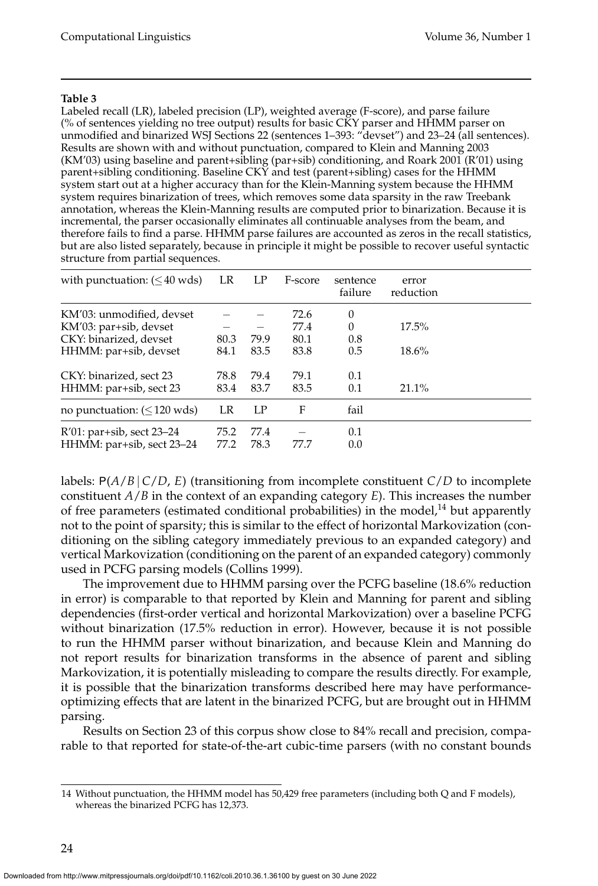#### **Table 3**

Labeled recall (LR), labeled precision (LP), weighted average (F-score), and parse failure (% of sentences yielding no tree output) results for basic CKY parser and HHMM parser on unmodified and binarized WSJ Sections 22 (sentences 1–393: "devset") and 23–24 (all sentences). Results are shown with and without punctuation, compared to Klein and Manning 2003 (KM'03) using baseline and parent+sibling (par+sib) conditioning, and Roark 2001 (R'01) using parent+sibling conditioning. Baseline CKY and test (parent+sibling) cases for the HHMM system start out at a higher accuracy than for the Klein-Manning system because the HHMM system requires binarization of trees, which removes some data sparsity in the raw Treebank annotation, whereas the Klein-Manning results are computed prior to binarization. Because it is incremental, the parser occasionally eliminates all continuable analyses from the beam, and therefore fails to find a parse. HHMM parse failures are accounted as zeros in the recall statistics, but are also listed separately, because in principle it might be possible to recover useful syntactic structure from partial sequences.

| with punctuation: $(\leq 40 \text{ wds})$              | LR           | LP           | F-score | sentence<br>failure | error<br>reduction |  |
|--------------------------------------------------------|--------------|--------------|---------|---------------------|--------------------|--|
| KM'03: unmodified, devset                              |              |              | 72.6    | 0                   |                    |  |
| KM'03: par+sib, devset                                 |              |              | 77.4    | $\theta$            | $17.5\%$           |  |
| CKY: binarized, devset                                 | 80.3         | 79.9         | 80.1    | 0.8                 |                    |  |
| HHMM: par+sib, devset                                  | 84.1         | 83.5         | 83.8    | 0.5                 | 18.6%              |  |
| CKY: binarized, sect 23                                | 78.8         | 79.4         | 79.1    | 0.1                 |                    |  |
| HHMM: par+sib, sect 23                                 | 83.4         | 83.7         | 83.5    | 0.1                 | $21.1\%$           |  |
| no punctuation: $(< 120$ wds)                          | LR           | LP           | F       | fail                |                    |  |
| R'01: par+sib, sect 23-24<br>HHMM: par+sib, sect 23-24 | 75.2<br>77.2 | 77.4<br>78.3 | 77.7    | 0.1<br>0.0          |                    |  |

labels:  $P(A/B | C/D, E)$  (transitioning from incomplete constituent  $C/D$  to incomplete constituent *A*/*B* in the context of an expanding category *E*). This increases the number of free parameters (estimated conditional probabilities) in the model, $^{14}$  but apparently not to the point of sparsity; this is similar to the effect of horizontal Markovization (conditioning on the sibling category immediately previous to an expanded category) and vertical Markovization (conditioning on the parent of an expanded category) commonly used in PCFG parsing models (Collins 1999).

The improvement due to HHMM parsing over the PCFG baseline (18.6% reduction in error) is comparable to that reported by Klein and Manning for parent and sibling dependencies (first-order vertical and horizontal Markovization) over a baseline PCFG without binarization (17.5% reduction in error). However, because it is not possible to run the HHMM parser without binarization, and because Klein and Manning do not report results for binarization transforms in the absence of parent and sibling Markovization, it is potentially misleading to compare the results directly. For example, it is possible that the binarization transforms described here may have performanceoptimizing effects that are latent in the binarized PCFG, but are brought out in HHMM parsing.

Results on Section 23 of this corpus show close to 84% recall and precision, comparable to that reported for state-of-the-art cubic-time parsers (with no constant bounds

<sup>14</sup> Without punctuation, the HHMM model has 50,429 free parameters (including both Q and F models), whereas the binarized PCFG has 12,373.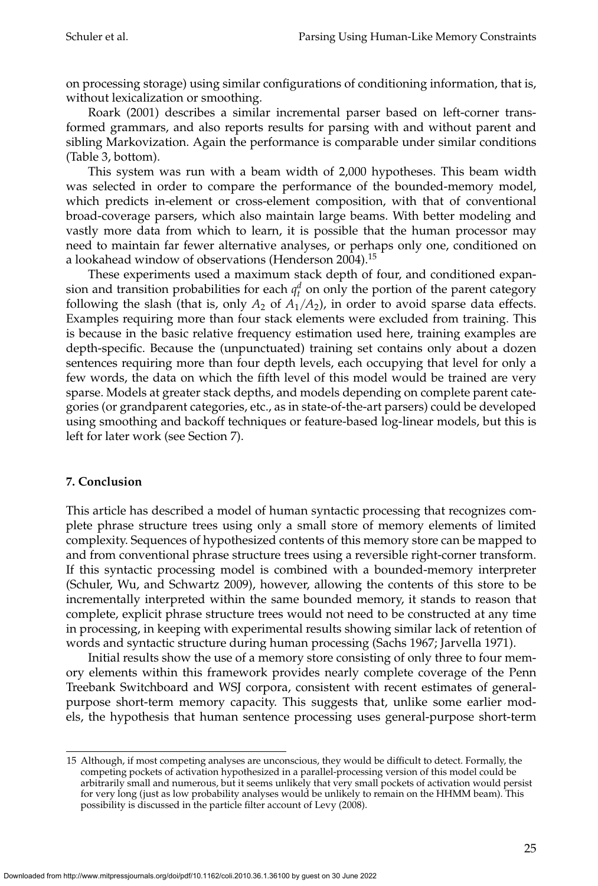on processing storage) using similar configurations of conditioning information, that is, without lexicalization or smoothing.

Roark (2001) describes a similar incremental parser based on left-corner transformed grammars, and also reports results for parsing with and without parent and sibling Markovization. Again the performance is comparable under similar conditions (Table 3, bottom).

This system was run with a beam width of 2,000 hypotheses. This beam width was selected in order to compare the performance of the bounded-memory model, which predicts in-element or cross-element composition, with that of conventional broad-coverage parsers, which also maintain large beams. With better modeling and vastly more data from which to learn, it is possible that the human processor may need to maintain far fewer alternative analyses, or perhaps only one, conditioned on a lookahead window of observations (Henderson 2004).<sup>15</sup>

These experiments used a maximum stack depth of four, and conditioned expansion and transition probabilities for each  $q_t^d$  on only the portion of the parent category following the slash (that is, only  $A_2$  of  $A_1/A_2$ ), in order to avoid sparse data effects. Examples requiring more than four stack elements were excluded from training. This is because in the basic relative frequency estimation used here, training examples are depth-specific. Because the (unpunctuated) training set contains only about a dozen sentences requiring more than four depth levels, each occupying that level for only a few words, the data on which the fifth level of this model would be trained are very sparse. Models at greater stack depths, and models depending on complete parent categories (or grandparent categories, etc., as in state-of-the-art parsers) could be developed using smoothing and backoff techniques or feature-based log-linear models, but this is left for later work (see Section 7).

# **7. Conclusion**

This article has described a model of human syntactic processing that recognizes complete phrase structure trees using only a small store of memory elements of limited complexity. Sequences of hypothesized contents of this memory store can be mapped to and from conventional phrase structure trees using a reversible right-corner transform. If this syntactic processing model is combined with a bounded-memory interpreter (Schuler, Wu, and Schwartz 2009), however, allowing the contents of this store to be incrementally interpreted within the same bounded memory, it stands to reason that complete, explicit phrase structure trees would not need to be constructed at any time in processing, in keeping with experimental results showing similar lack of retention of words and syntactic structure during human processing (Sachs 1967; Jarvella 1971).

Initial results show the use of a memory store consisting of only three to four memory elements within this framework provides nearly complete coverage of the Penn Treebank Switchboard and WSJ corpora, consistent with recent estimates of generalpurpose short-term memory capacity. This suggests that, unlike some earlier models, the hypothesis that human sentence processing uses general-purpose short-term

<sup>15</sup> Although, if most competing analyses are unconscious, they would be difficult to detect. Formally, the competing pockets of activation hypothesized in a parallel-processing version of this model could be arbitrarily small and numerous, but it seems unlikely that very small pockets of activation would persist for very long (just as low probability analyses would be unlikely to remain on the HHMM beam). This possibility is discussed in the particle filter account of Levy (2008).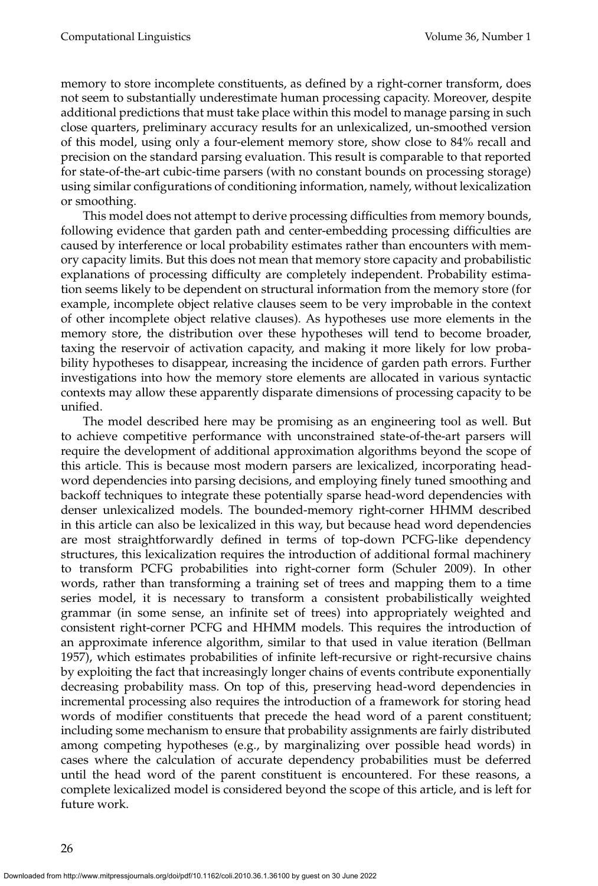memory to store incomplete constituents, as defined by a right-corner transform, does not seem to substantially underestimate human processing capacity. Moreover, despite additional predictions that must take place within this model to manage parsing in such close quarters, preliminary accuracy results for an unlexicalized, un-smoothed version of this model, using only a four-element memory store, show close to 84% recall and precision on the standard parsing evaluation. This result is comparable to that reported for state-of-the-art cubic-time parsers (with no constant bounds on processing storage) using similar configurations of conditioning information, namely, without lexicalization or smoothing.

This model does not attempt to derive processing difficulties from memory bounds, following evidence that garden path and center-embedding processing difficulties are caused by interference or local probability estimates rather than encounters with memory capacity limits. But this does not mean that memory store capacity and probabilistic explanations of processing difficulty are completely independent. Probability estimation seems likely to be dependent on structural information from the memory store (for example, incomplete object relative clauses seem to be very improbable in the context of other incomplete object relative clauses). As hypotheses use more elements in the memory store, the distribution over these hypotheses will tend to become broader, taxing the reservoir of activation capacity, and making it more likely for low probability hypotheses to disappear, increasing the incidence of garden path errors. Further investigations into how the memory store elements are allocated in various syntactic contexts may allow these apparently disparate dimensions of processing capacity to be unified.

The model described here may be promising as an engineering tool as well. But to achieve competitive performance with unconstrained state-of-the-art parsers will require the development of additional approximation algorithms beyond the scope of this article. This is because most modern parsers are lexicalized, incorporating headword dependencies into parsing decisions, and employing finely tuned smoothing and backoff techniques to integrate these potentially sparse head-word dependencies with denser unlexicalized models. The bounded-memory right-corner HHMM described in this article can also be lexicalized in this way, but because head word dependencies are most straightforwardly defined in terms of top-down PCFG-like dependency structures, this lexicalization requires the introduction of additional formal machinery to transform PCFG probabilities into right-corner form (Schuler 2009). In other words, rather than transforming a training set of trees and mapping them to a time series model, it is necessary to transform a consistent probabilistically weighted grammar (in some sense, an infinite set of trees) into appropriately weighted and consistent right-corner PCFG and HHMM models. This requires the introduction of an approximate inference algorithm, similar to that used in value iteration (Bellman 1957), which estimates probabilities of infinite left-recursive or right-recursive chains by exploiting the fact that increasingly longer chains of events contribute exponentially decreasing probability mass. On top of this, preserving head-word dependencies in incremental processing also requires the introduction of a framework for storing head words of modifier constituents that precede the head word of a parent constituent; including some mechanism to ensure that probability assignments are fairly distributed among competing hypotheses (e.g., by marginalizing over possible head words) in cases where the calculation of accurate dependency probabilities must be deferred until the head word of the parent constituent is encountered. For these reasons, a complete lexicalized model is considered beyond the scope of this article, and is left for future work.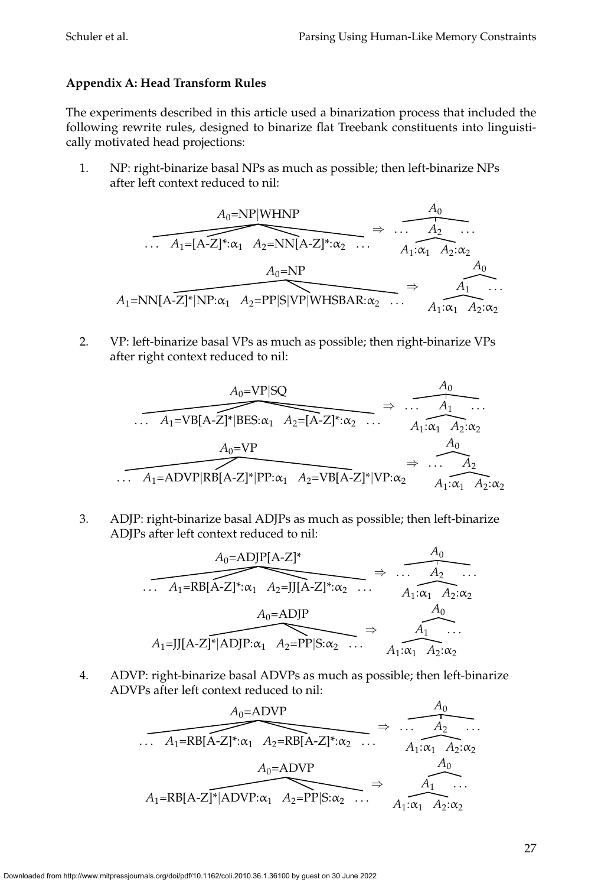# **Appendix A: Head Transform Rules**

The experiments described in this article used a binarization process that included the following rewrite rules, designed to binarize flat Treebank constituents into linguistically motivated head projections:

1. NP: right-binarize basal NPs as much as possible; then left-binarize NPs after left context reduced to nil:

$$
A_0 = NP|WHNP
$$
\n
$$
\overbrace{\mathcal{A}_1 = [A-Z]^* : \alpha_1 A_2 = NN[A-Z]^* : \alpha_2 \dots A_1 : \alpha_1 A_2 : \alpha_2 \dots A_1 : \alpha_1 A_2 : \alpha_2 A_0 = NP}
$$
\n
$$
A_1 = NN[A-Z]^*|NP : \alpha_1 A_2 = PP|S|VP|WHSBAR : \alpha_2 \dots A_1 : \alpha_1 A_2 : \alpha_2 A_1
$$

2. VP: left-binarize basal VPs as much as possible; then right-binarize VPs after right context reduced to nil:

$$
\frac{A_0 = VP|SQ}{A_1 = VB[A-Z]^*|BES:\alpha_1 A_2 = [A-Z]^*:\alpha_2 \dots A_1:\alpha_1 A_2:\alpha_2} \Rightarrow \frac{A_0}{A_1:\alpha_1 A_2:\alpha_2}
$$
  

$$
\frac{A_0 = VP}{A_0}
$$
  

$$
\frac{A_0}{A_1 = ADVP|RB[A-Z]^*|PP:\alpha_1 A_2 = VB[A-Z]^*|VP:\alpha_2} \Rightarrow \dots A_2}{A_1:\alpha_1 A_2:\alpha_2}
$$

3. ADJP: right-binarize basal ADJPs as much as possible; then left-binarize ADJPs after left context reduced to nil:

$$
\overbrace{A_0 = ADJP[A-Z]^*}^{A_0 = ADJP[A-Z]^*} \Rightarrow \overbrace{A_0 \cdots A_2 \cdots A_1 = RB[A-Z]^* : \alpha_1 A_2 = JJ[A-Z]^* : \alpha_2 \cdots A_1 : \alpha_1 A_2 : \alpha_2 A_0 = ADJP}^{A_0 \cdots A_1 : \alpha_1 A_2 : \alpha_2 A_0 \cdots A_1 : \alpha_1 A_2 : \alpha_2 A_1 \cdots A_1 : \alpha_1 A_2 : \alpha_2 A_2 \cdots A_1 : \alpha_1 A_2 : \alpha_2 A_2 \cdots A_1 : \alpha_1 A_2 : \alpha_2 A_2 \cdots A_1 : \alpha_1 A_2 : \alpha_2 A_2 \cdots A_1 : \alpha_1 A_2 : \alpha_2 A_2 \cdots A_1 : \alpha_1 A_2 : \alpha_2 A_2 \cdots A_1 : \alpha_1 A_2 : \alpha_2 A_2 \cdots A_1 : \alpha_1 A_2 : \alpha_2 A_2 \cdots A_1 : \alpha_1 A_2 : \alpha_2 A_2 \cdots A_1 : \alpha_1 A_2 : \alpha_2 A_2 \cdots A_1 : \alpha_1 A_2 : \alpha_2 A_2 \cdots A_1 : \alpha_1 A_2 : \alpha_2 A_2 \cdots A_1 : \alpha_1 A_2 : \alpha_2 A_2 \cdots A_1 : \alpha_1 A_2 : \alpha_2 A_2 \cdots A_1 : \alpha_1 A_2 : \alpha_2 A_2 \cdots A_1 : \alpha_1 A_2 : \alpha_2 A_2 \cdots A_1 : \alpha_1 A_2 : \alpha_2 A_2 \cdots A_1 : \alpha_1 A_2 : \alpha_1 A_2 \cdots A_1 : \alpha_1 A_2 : \alpha_1 A_2 \cdots A_1 : \alpha_1 A_2 : \alpha_1 A_2 \cdots A_1 : \alpha_1 A_2 : \alpha_1 A_2 \cdots A_1 : \alpha_1 A_2 : \alpha_1 A_2 \cdots A_1 : \alpha_1 A_2 : \alpha_1 A_2 \cdots A_1 : \alpha_1 A_2 : \alpha_1 A_2 \cdots A_1 : \alpha_1 A_2 : \alpha_1 A_2 \cdots A_1 : \alpha_1 A_2 : \alpha_1 A_2 \cdots A_1 : \alpha_1 A_2 : \alpha_1 A_2 \cdots A_1 : \alpha_1 A_2 : \alpha_
$$

4. ADVP: right-binarize basal ADVPs as much as possible; then left-binarize ADVPs after left context reduced to nil:

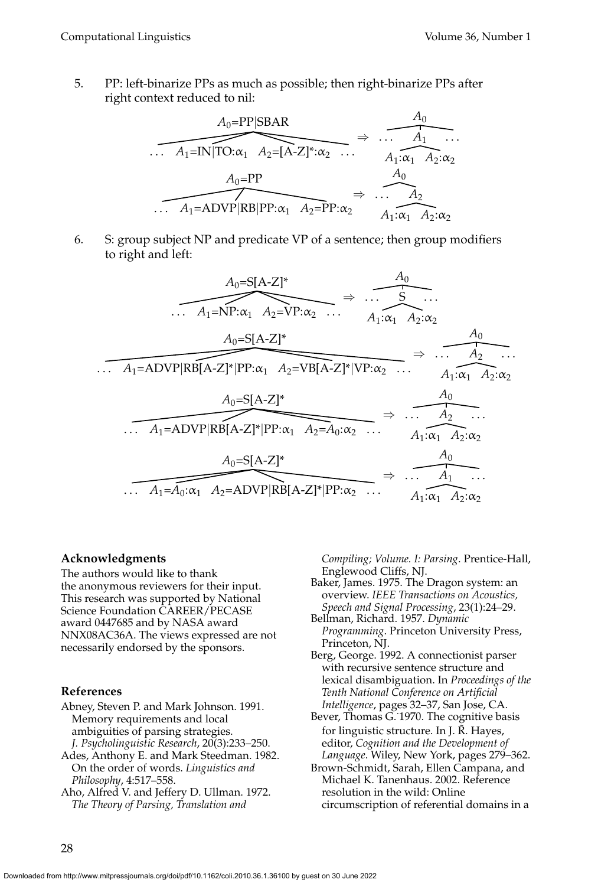5. PP: left-binarize PPs as much as possible; then right-binarize PPs after right context reduced to nil:



6. S: group subject NP and predicate VP of a sentence; then group modifiers to right and left:

$$
A_0 = S[A-Z]^* \longrightarrow A_1 : \alpha_1 A_2 : \alpha_2 \longrightarrow A_1 : \alpha_1 A_2 : \alpha_2
$$
  
\n
$$
A_1 = ADVP |RB[A-Z]^* |PP: \alpha_1 A_2 = VB[A-Z]^* |VP: \alpha_2 ... A_1 : \alpha_1 A_2 : \alpha_2
$$
  
\n
$$
A_0 = S[A-Z]^* \longrightarrow A_0
$$
  
\n
$$
A_0 = S[A-Z]^* \longrightarrow A_0
$$
  
\n
$$
A_1 = ADVP |RB[A-Z]^* |PP: \alpha_1 A_2 = A_0 : \alpha_2 ... A_1 : \alpha_1 A_2 : \alpha_2
$$
  
\n
$$
A_0 = S[A-Z]^* \longrightarrow A_1 : \alpha_1 A_2 : \alpha_2
$$
  
\n
$$
A_1 = A_0 : \alpha_1 A_2 = ADVP |RB[A-Z]^* |PP: \alpha_2 ... A_1 : \alpha_1 A_2 : \alpha_2
$$

#### **Acknowledgments**

The authors would like to thank the anonymous reviewers for their input. This research was supported by National Science Foundation CAREER/PECASE award 0447685 and by NASA award NNX08AC36A. The views expressed are not necessarily endorsed by the sponsors.

### **References**

- Abney, Steven P. and Mark Johnson. 1991. Memory requirements and local ambiguities of parsing strategies. *J. Psycholinguistic Research*, 20(3):233–250.
- Ades, Anthony E. and Mark Steedman. 1982. On the order of words. *Linguistics and Philosophy*, 4:517–558.
- Aho, Alfred V. and Jeffery D. Ullman. 1972. *The Theory of Parsing, Translation and*

*Compiling; Volume. I: Parsing*. Prentice-Hall, Englewood Cliffs, NJ.

- Baker, James. 1975. The Dragon system: an overview. *IEEE Transactions on Acoustics, Speech and Signal Processing*, 23(1):24–29.
- Bellman, Richard. 1957. *Dynamic Programming*. Princeton University Press, Princeton, NJ.
- Berg, George. 1992. A connectionist parser with recursive sentence structure and lexical disambiguation. In *Proceedings of the Tenth National Conference on Artificial Intelligence*, pages 32–37, San Jose, CA.
- Bever, Thomas G.˙1970. The cognitive basis for linguistic structure. In J. R. Hayes, editor, *Cognition and the Development of Language*. Wiley, New York, pages 279–362.
- Brown-Schmidt, Sarah, Ellen Campana, and Michael K. Tanenhaus. 2002. Reference resolution in the wild: Online circumscription of referential domains in a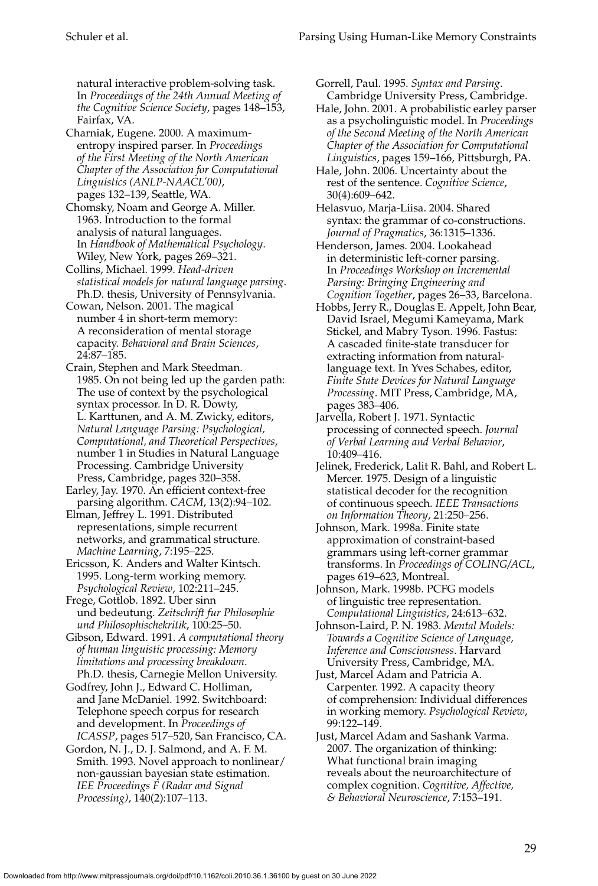natural interactive problem-solving task. In *Proceedings of the 24th Annual Meeting of the Cognitive Science Society*, pages 148–153, Fairfax, VA.

Charniak, Eugene. 2000. A maximumentropy inspired parser. In *Proceedings of the First Meeting of the North American Chapter of the Association for Computational Linguistics (ANLP-NAACL'00)*, pages 132–139, Seattle, WA.

Chomsky, Noam and George A. Miller. 1963. Introduction to the formal analysis of natural languages. In *Handbook of Mathematical Psychology*. Wiley, New York, pages 269–321.

Collins, Michael. 1999. *Head-driven statistical models for natural language parsing*. Ph.D. thesis, University of Pennsylvania.

Cowan, Nelson. 2001. The magical number 4 in short-term memory: A reconsideration of mental storage capacity. *Behavioral and Brain Sciences*, 24:87–185.

Crain, Stephen and Mark Steedman. 1985. On not being led up the garden path: The use of context by the psychological syntax processor. In D. R. Dowty, L. Karttunen, and A. M. Zwicky, editors, *Natural Language Parsing: Psychological, Computational, and Theoretical Perspectives*, number 1 in Studies in Natural Language Processing. Cambridge University Press, Cambridge, pages 320–358.

Earley, Jay. 1970. An efficient context-free parsing algorithm. *CACM*, 13(2):94–102.

Elman, Jeffrey L. 1991. Distributed representations, simple recurrent networks, and grammatical structure. *Machine Learning*, 7:195–225.

Ericsson, K. Anders and Walter Kintsch. 1995. Long-term working memory. *Psychological Review*, 102:211–245.

Frege, Gottlob. 1892. Uber sinn und bedeutung. *Zeitschrift fur Philosophie und Philosophischekritik*, 100:25–50.

Gibson, Edward. 1991. *A computational theory of human linguistic processing: Memory limitations and processing breakdown*. Ph.D. thesis, Carnegie Mellon University.

Godfrey, John J., Edward C. Holliman, and Jane McDaniel. 1992. Switchboard: Telephone speech corpus for research and development. In *Proceedings of ICASSP*, pages 517–520, San Francisco, CA.

Gordon, N. J., D. J. Salmond, and A. F. M. Smith. 1993. Novel approach to nonlinear/ non-gaussian bayesian state estimation. *IEE Proceedings F (Radar and Signal Processing)*, 140(2):107–113.

Gorrell, Paul. 1995. *Syntax and Parsing*. Cambridge University Press, Cambridge.

Hale, John. 2001. A probabilistic earley parser as a psycholinguistic model. In *Proceedings of the Second Meeting of the North American Chapter of the Association for Computational Linguistics*, pages 159–166, Pittsburgh, PA.

Hale, John. 2006. Uncertainty about the rest of the sentence. *Cognitive Science*, 30(4):609–642.

Helasvuo, Marja-Liisa. 2004. Shared syntax: the grammar of co-constructions. *Journal of Pragmatics*, 36:1315–1336.

Henderson, James. 2004. Lookahead in deterministic left-corner parsing. In *Proceedings Workshop on Incremental Parsing: Bringing Engineering and Cognition Together*, pages 26–33, Barcelona.

Hobbs, Jerry R., Douglas E. Appelt, John Bear, David Israel, Megumi Kameyama, Mark Stickel, and Mabry Tyson. 1996. Fastus: A cascaded finite-state transducer for extracting information from naturallanguage text. In Yves Schabes, editor, *Finite State Devices for Natural Language Processing*. MIT Press, Cambridge, MA, pages 383–406.

Jarvella, Robert J. 1971. Syntactic processing of connected speech. *Journal of Verbal Learning and Verbal Behavior*, 10:409–416.

Jelinek, Frederick, Lalit R. Bahl, and Robert L. Mercer. 1975. Design of a linguistic statistical decoder for the recognition of continuous speech. *IEEE Transactions on Information Theory*, 21:250–256.

Johnson, Mark. 1998a. Finite state approximation of constraint-based grammars using left-corner grammar transforms. In *Proceedings of COLING/ACL*, pages 619–623, Montreal.

Johnson, Mark. 1998b. PCFG models of linguistic tree representation. *Computational Linguistics*, 24:613–632.

Johnson-Laird, P. N. 1983. *Mental Models: Towards a Cognitive Science of Language, Inference and Consciousness*. Harvard University Press, Cambridge, MA.

Just, Marcel Adam and Patricia A. Carpenter. 1992. A capacity theory of comprehension: Individual differences in working memory. *Psychological Review*, 99:122–149.

Just, Marcel Adam and Sashank Varma. 2007. The organization of thinking: What functional brain imaging reveals about the neuroarchitecture of complex cognition. *Cognitive, Affective, & Behavioral Neuroscience*, 7:153–191.